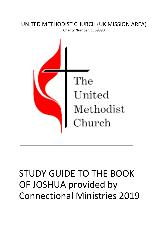### UNITED METHODIST CHURCH (UK MISSION AREA)

Charity Number: 1169890



# STUDY GUIDE TO THE BOOK OF JOSHUA provided by Connectional Ministries 2019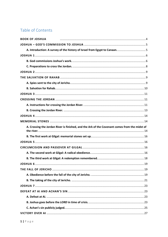### Table of Contents

| <b>BOOK OF JOSHUA</b>                                                                         |  |
|-----------------------------------------------------------------------------------------------|--|
|                                                                                               |  |
|                                                                                               |  |
|                                                                                               |  |
|                                                                                               |  |
|                                                                                               |  |
|                                                                                               |  |
|                                                                                               |  |
|                                                                                               |  |
|                                                                                               |  |
|                                                                                               |  |
|                                                                                               |  |
|                                                                                               |  |
|                                                                                               |  |
|                                                                                               |  |
|                                                                                               |  |
| A. Crossing the Jordan River is finished, and the Ark of the Covenant comes from the midst of |  |
|                                                                                               |  |
|                                                                                               |  |
|                                                                                               |  |
|                                                                                               |  |
|                                                                                               |  |
|                                                                                               |  |
|                                                                                               |  |
|                                                                                               |  |
|                                                                                               |  |
|                                                                                               |  |
|                                                                                               |  |
|                                                                                               |  |
|                                                                                               |  |
|                                                                                               |  |
|                                                                                               |  |
|                                                                                               |  |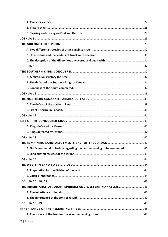| A. God's command to Joshua regarding the land remaining to be conquered.  42 |  |
|------------------------------------------------------------------------------|--|
|                                                                              |  |
|                                                                              |  |
|                                                                              |  |
|                                                                              |  |
|                                                                              |  |
|                                                                              |  |
| THE INHERITANCE OF JUDAH, EPHRAIM AND WESTERN MANASSEH46                     |  |
|                                                                              |  |
|                                                                              |  |
|                                                                              |  |
|                                                                              |  |
|                                                                              |  |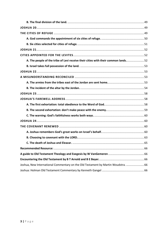| A. The people of the tribe of Levi receive their cities with their common lands52 |  |
|-----------------------------------------------------------------------------------|--|
|                                                                                   |  |
|                                                                                   |  |
|                                                                                   |  |
|                                                                                   |  |
|                                                                                   |  |
|                                                                                   |  |
|                                                                                   |  |
|                                                                                   |  |
|                                                                                   |  |
|                                                                                   |  |
|                                                                                   |  |
|                                                                                   |  |
|                                                                                   |  |
|                                                                                   |  |
|                                                                                   |  |
|                                                                                   |  |
|                                                                                   |  |
|                                                                                   |  |
| Joshua, New International Commentary on the Old Testament by Martin Woudstra.  66 |  |
|                                                                                   |  |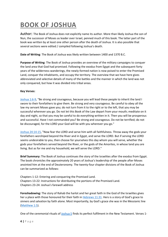## <span id="page-4-0"></span>**BOOK OF JOSHUA**

**Author:** The Book of Joshua does not explicitly name its author. More than likely Joshua the son of Nun, the successor of Moses as leader over Israel, penned much of this book. The latter part of the book was written by at least one other person after the death of Joshua. It is also possible that several sections were edited / compiled following Joshua's death.

**Date of Writing**: The Book of Joshua was likely written between 1400 and 1370 B.C.

**Purpose of Writing**: The Book of Joshua provides an overview of the military campaigns to conquer the land area that God had promised. Following the exodus from Egypt and the subsequent forty years of the wilderness wanderings, the newly-formed nation is now poised to enter the Promised Land, conquer the inhabitants, and occupy the territory. The overview that we have here gives abbreviated and selective details of many of the battles and the manner in which the land was not only conquered, but how it was divided into tribal areas.

#### **Key Verses:**

[Joshua 1:6-9,](https://biblia.com/bible/esv/Josh%201.6-9) "Be strong and courageous, because you will lead these people to inherit the land I swore to their forefathers to give them. Be strong and very courageous. Be careful to obey all the law my servant Moses gave you; do not turn from it to the right or to the left, that you may be successful wherever you go. Do not let this Book of the Law depart from your mouth; meditate on it day and night, so that you may be careful to do everything written in it. Then you will be prosperous and successful. Have I not commanded you? Be strong and courageous. Do not be terrified; do not be discouraged, for the LORD your God will be with you wherever you go."

[Joshua 24:14-15,](https://biblia.com/bible/esv/Josh%2024.14-15) "Now fear the LORD and serve him with all faithfulness. Throw away the gods your forefathers worshiped beyond the River and in Egypt, and serve the LORD. But if serving the LORD seems undesirable to you, then choose for yourselves this day whom you will serve, whether the gods your forefathers served beyond the River, or the gods of the Amorites, in whose land you are living. But as for me and my household, we will serve the LORD."

**Brief Summary:** The Book of Joshua continues the story of the Israelites after the exodus from Egypt. The book chronicles the approximately 20 years of Joshua's leadership of the people after Moses anointed him at the end of Deuteronomy. The twenty-four chapter divisions of the Book of Joshua can be summarized as follows:

Chapters 1-12: Entering and conquering the Promised Land. Chapters 13-22: Instructions for distributing the portions of the Promised Land. Chapters 23-24: Joshua's farewell address

**Foreshadowing:** The story of Rahab the harlot and her great faith in the God of the Israelites gives her a place with those honoured for their faith in [Hebrews 11:31.](https://biblia.com/bible/esv/Heb%2011.31) Hers is a story of God's grace to sinners and salvation by faith alone. Most importantly, by God's grace she was in the Messianic line [\(Matthew 1:5\)](https://biblia.com/bible/esv/Matt%201.5).

One of the ceremonial rituals of [Joshua 5](https://biblia.com/bible/esv/Josh%205) finds its perfect fulfilment in the New Testament. Verses 1-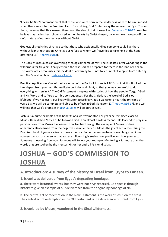9 describe God's commandment that those who were born in the wilderness were to be circumcised when they came into the Promised Land. By so doing, God "rolled away the reproach of Egypt" from them, meaning that He cleansed them from the sins of their former life. [Colossians 2:10-12](https://biblia.com/bible/esv/Col%202.10-12) describes believers as having been circumcised in their hearts by Christ Himself, by whom we have put off the sinful nature of our former lives without Christ.

God established cities of refuge so that those who accidentally killed someone could live there without fear of retribution. Christ is our refuge to whom we "have fled to take hold of the hope offered to us" [\(Hebrews 6:18\)](https://biblia.com/bible/esv/Heb%206.18).

The Book of Joshua has an overriding theological theme of rest. The Israelites, after wandering in the wilderness for 40 years, finally entered the rest God had prepared for them in the land of Canaan. The writer of Hebrews uses this incident as a warning to us not to let unbelief keep us from entering into God's rest in Christ [\(Hebrews 3:7-12\)](https://biblia.com/bible/esv/Heb%203.7-12).

**Practical Application**: One of the key verses of the Book of Joshua is 1:8 "Do not let this Book of the Law depart from your mouth; meditate on it day and night, so that you may be careful to do everything written in it." The Old Testament is replete with stories of how the people "forgot" God and His Word and suffered terrible consequences. For the Christian, the Word of God is our lifeblood. If we neglect it, our lives will suffer accordingly. But if we take to heart the principle of verse 1:8, we will be complete and able to be of use in God's kingdom [\(2 Timothy 3:16-17\)](https://biblia.com/bible/esv/2%20Tim%203.16-17), and we will find that God's promises in [Joshua 1:8-9](https://biblia.com/bible/esv/Josh%201.8-9) will be ours as well.

Joshua is a prime example of the benefits of a worthy mentor. For years he remained close to Moses. He watched Moses as he followed God in an almost flawless manner. He learned to pray in a personal way from Moses. He learned how to obey through the example of Moses. Joshua apparently also learned from the negative example that cost Moses the joy of actually entering the Promised Land. If you are alive, you are a mentor. Someone, somewhere, is watching you. Some younger person or someone that you are influencing is seeing how you live and how you react. Someone is learning from you. Someone will follow your example. Mentoring is far more than the words that are spoken by the mentor. His or her entire life is on display.

## <span id="page-5-0"></span>**JOSHUA – GOD'S COMMISSION TO JOSHUA**

#### <span id="page-5-1"></span>**A. Introduction: A survey of the history of Israel from Egypt to Canaan.**

**1. Israel was delivered from Egypt's degrading bondage.**

a. These were historical events, but they were not *only* historical. God speaks through history to give an example of our deliverance from the degrading bondage of sin.

b. The central act of redemption in the New Testament is the work of Jesus on the cross. The central act of redemption in the Old Testament is the deliverance of Israel from Egypt.

**2. Israel, led by Moses, wandered in the Sinai wilderness.**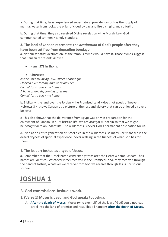a. During that time, Israel experienced supernatural providence such as the supply of manna, water from rocks, the pillar of cloud by day and fire by night, and so forth.

b. During that time, they also received Divine revelation – the Mosaic Law. God communicated to them His holy standard.

#### **3. The land of Canaan represents the** *destination* **of God's people after they have been set free from degrading bondage.**

a. Not our *ultimate* destination, as the famous hymns would have it. Those hymns suggest that Canaan represents *heaven*.

- Hymn 279 in Shona.
- Choruses:

As the lines to *Swing Low, Sweet Chariot* go: *I looked over Jordan, and what did I see Comin' for to carry me home? A band of angels, coming after me Comin' for to carry me home*.

b. Biblically, the land over the Jordan – the Promised Land – does not speak of heaven. Hebrews 3-4 shows Canaan as a picture of the rest and victory that can be enjoyed by every believer.

c. This also shows that the deliverance from Egypt was only in preparation for the enjoyment of Canaan. In our Christian life, we are *brought out* of sin so that we might be *brought in* to abundant life. The wilderness is never God's permanent destination for us.

d. Even as an entire generation of Israel died in the wilderness, so many Christians die in the desert dryness of spiritual experience, never walking in the fullness of what God has for them.

#### **4. The leader: Joshua as a type of Jesus.**

a. Remember that the Greek name *Jesus* simply translates the Hebrew name *Joshua*. Their names are identical. Whatever Israel received in the Promised Land, they received through the hand of Joshua; whatever we receive from God we receive through Jesus Christ, our Joshua.

### <span id="page-6-0"></span>**JOSHUA 1**

#### <span id="page-6-1"></span>**B. God commissions Joshua's work.**

- **1. (Verse 1) Moses is dead, and God speaks to Joshua.**
	- A. **After the death of Moses**: Moses (who exemplified the law of God) could not lead Israel into the land of promise and rest. This all happens **after the death of Moses**.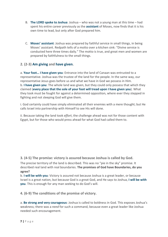- B. **The LORD spoke to Joshua**: Joshua who was not a young man at this time had spent his entire career previously as the **assistant** of Moses, now finds that it is his own time to lead, but only after God prepared him.
- C. **Moses' assistant**: Joshua was prepared by faithful service in small things, in being Moses' assistant. Redpath tells of a motto over a kitchen sink: "Divine service is conducted here three times daily." The motto is true, and great men and women are prepared by faithfulness to the small things.

#### **2. (2-3) Am giving and have given.**

a. **Your foot… I have given you**: Entrance into the land of Canaan was entrusted to a representative. Joshua was the trustee of the land for the people. In the same way, our representative Jesus goes before us and what we have in God we possess in Him. b. **I have given you**: The whole land was given, but they could only possess that which they claimed (**every place that the sole of your foot will tread upon I have given you**). What they took must be fought for against a determined opposition, where ever they stepped in fighting and not sleeping God will give them.

i. God certainly could have simply eliminated all their enemies with a mere thought; but He calls Israel into partnership with Himself to see His will done.

ii. Because taking the land took *effort*, the challenge ahead was not for those content with Egypt, but for those who would press ahead for what God had called them to.

**3. (4-5) The promise: victory is assured because Joshua is called by God.**

The precise territory of the land is described. This was no "pie in the sky" promise. It described real land with real boundaries. **The promises of God have Boundaries, do you agree?**

b. **I will be with you**: Victory is assured not because Joshua is a great leader, or because Israel is a great nation, but because God is a great God, and He says to Joshua, **I will be with you**. This is enough for any man seeking to do God's will.

**4. (6-9) The conditions of the promise of victory.**

a. **Be strong and very courageous**: Joshua is called to boldness in God. This exposes Joshua's weakness; there was a *need* for such a command, because even a great leader like Joshua needed such encouragement.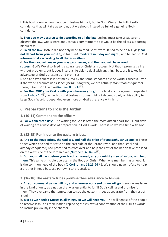i. This bold courage would not be in Joshua himself, but in God. We can be full of selfconfidence that will take us to ruin, but we should instead be full of a genuine Godconfidence.

b. **That you may observe to do according to all the law**: Joshua must take great care to observe the law. God's word and Joshua's commitment to it would be the pillars supporting his success.

c. **To all the law**: Joshua did not only need to read God's word. It had to be on his *lips* (**shall not depart from your mouth**), in his *mind* (**meditate in it day and night**), and he had to *do* it (**observe to do according to all that is written**).

d. **For then you will make your way prosperous, and then you will have good**

**success**: God's Word so lived is a guarantee of Christian success. Not that it promises a life without problems, but it does insure a life able to deal with anything, because it takes full advantage of God's presence and promises.

i. And *Christian* success is not measured by the same standards as the world's success. Even if the world accounts us as *sheep for the slaughter*, we are actually *more than conquerors through Him who loved us*[\(Romans](https://biblia.com/bible/esv/Rom%208.36-37) 8:36-3[7](libronixdls:keylink|ref=%5Ben%5Dbible:Rom8.36-37|res=LLS:ESV) ).

e. **For the LORD your God is with you wherever you go**: The final encouragement, repeated from [Joshua](https://biblia.com/bible/esv/Josh%201.5) 1:5 $\Box$ , reminds us that Joshua's success did not depend solely on his ability to keep God's Word. It depended even more on God's presence with him.

#### <span id="page-8-0"></span>**C. Preparations to cross the Jordan.**

**1. (10-11) Command to the officers.**

a. **For within three days**: The waiting for God is often the most difficult part for us, but days of waiting are always days of preparation in God's work. There is no *wasted* time with God.

#### **2. (12-15) Reminder to the eastern tribes.**

a. **And to the Reubenites, the Gadites, and half the tribe of Manasseh Joshua spoke**: These tribes which decided to settle on the east side of the Jordan river (land that Israel had already conquered) had promised to cross over and help the rest of the nation take the land on the west side of the Jordan river [\(Numbers](https://biblia.com/bible/esv/Num%2032.16-32) 32:16-32L).

b. **But you shall pass before your brethren armed, all your mighty men of valour, and help them**: This same principle operates in the Body of Christ. When one member has a need, it is the common need of the body (1 [Corinthians](https://biblia.com/bible/esv/1%20Cor%2012.25-26) 12:25-2[6](libronixdls:keylink|ref=%5Ben%5Dbible:1Cor12.25-26|res=LLS:ESV) $E$ ). We should never refuse to help a brother in need because *our* own state is settled.

**3. (16-18) The eastern tribes promise their allegiance to Joshua.**

a. **All you command us we will do, and wherever you send us we will go**: Here we see Israel in the kind of unity as a nation that was essential to fulfill God's calling and promise for them. They overcame the temptation to see the eastern tribes as separate from the rest of Israel.

b. **Just as we heeded Moses in all things, so we will heed you**: The willingness of the people to receive Joshua as their leader, replacing Moses, was a confirmation of the LORD's words to Joshua previously in the chapter.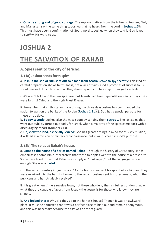c. **Only be strong and of good courage**: The representatives from the tribes of Reuben, Gad, and Manasseh say the same thing to [Joshua](https://biblia.com/bible/esv/Josh%201.6) that he heard from the Lord in Joshua 1:6<sup> $L$ </sup>. This must have been a confirmation of God's word to Joshua when they said it. God loves to *confirm* His word to us.

### <span id="page-9-0"></span>**JOSHUA 2**

### <span id="page-9-1"></span>**THE SALVATION OF RAHAB**

<span id="page-9-2"></span>**A. Spies sent to the city of Jericho.**

**1. (1a) Joshua sends forth spies.**

a. **Joshua the son of Nun sent out two men from Acacia Grove to spy secretly**: This kind of careful preparation shows faithfulness, not a lack of faith. God's promises of success to us should never lull us into inaction. They should spur us on to a step out in godly activity.

i. We aren't told who the two spies are, but Jewish tradition – speculation, really – says they were faithful Caleb and the High Priest Eliezer.

ii. Remember that all this takes place during the three days Joshua has commanded the nation to wait on the banks of the Jordan [\(Joshua](https://biblia.com/bible/esv/Josh%201.11) 1:11 $\mathbb{E}$ ). God has a special purpose for these three days.

b. **To spy secretly**: Joshua also shows wisdom by sending them **secretly**. The last spies that went out publicly turned out badly for Israel, when a majority of the spies came back with a discouraging report (Numbers 13).

c. **Go, view the land, especially Jericho**: God has greater things in mind for this spy mission; it will fail as a mission of military reconnaissance, but it will succeed in God's purpose.

**2. (1b) The spies at Rahab's house.**

a. **Came to the house of a harlot named Rahab**: Through the history of Christianity, it has embarrassed some Bible interpreters that these two spies went to the house of a prostitute. Some have tried to say that Rahab was simply an "innkeeper," but the language is clear enough. She was a **harlot**.

i. In the second century Origen wrote: "As the first Joshua sent his spies before him and they were received into the harlot's house, so the second Joshua sent his forerunners, whom the publicans and harlots gladly received".

ii. It is great when sinners receive Jesus; not those who deny their sinfulness or don't know what they are capable of apart from Jesus – the gospel is for those who know they are sinners.

b. **And lodged there**: Why did they go to the harlot's house? Though it was an awkward place, it must be admitted that it was a perfect place to hide out and remain anonymous, and this was necessary because the city was on strict guard.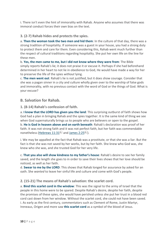i. There isn't even the hint of immorality with Rahab. Anyone who assumes that there was immoral conduct forces their own bias on the text.

#### **3. (2-7) Rahab hides and protects the spies.**

a. **Then the woman took the two men and hid them**: In the culture of that day, there was a strong tradition of hospitality. If someone was a guest in your house, you had a strong duty to protect them and care for them. Even considering this, Rahab went much further than the respect of cultural traditions regarding hospitality. She put her own life on the line for these men.

b. **Yes, the men came to me, but I did not know where they were from**: The Bible simply *reports* Rahab's lie; it does not praise it or excuse it. Perhaps if she had beforehand determined in her heart to not lie in obedience to God, He would have made a way for her to preserve the life of the spies *without* lying.

c. **The men went out**: Rahab's lie is not justified, but it does show courage. Consider that she was a pagan sinner in a city and culture wholly given over to the worship of false gods and immorality, with no previous contact with the word of God or the things of God. What is your excuse?

#### <span id="page-10-0"></span>**B. Salvation for Rahab.**

**1. (8-14) Rahab's confession of faith.**

a. **I know that the LORD has given you the land**: This surprising outburst of faith shows how God had a plan in bringing Rahab and the spies together. It is the same kind of thing we see when God supernaturally brings us to people who are believers or open to the gospel. b. **He is God in heaven above and on earth beneath**: Rahab's declaration was proof of her faith. It was not strong faith and it was not perfect faith, but her faith was commendable nonetheless [\(Hebrews](https://biblia.com/bible/esv/Heb%2011.31)  $11:31^{\lfloor L \rfloor}$  $11:31^{\lfloor L \rfloor}$  and [James](https://biblia.com/bible/esv/James%202.25) 2:2[5](libronixdls:keylink|ref=%5Ben%5Dbible:James2.25|res=LLS:ESV) <sup>[L]</sup>).

i. We may be appalled at the fact that Rahab was a prostitute, or that she was a liar. But the fact is that she was not saved by her works, but by her faith. She knew who God was, she knew who she was, and she trusted God for her very life.

c. **That you also will show kindness to my father's house**: Rahab's desire to see her family saved, and the length she goes to in order to save their lives shows that her love should be noticed, as well as her faith.

d. **Swear to me by the LORD**: This shows that Rahab longed for assurance by asked for an oath. She *wanted* to leave her sinful life and culture and come with God's people.

#### **2. (15-21) The means of Rahab's salvation: the scarlet cord.**

a. **Bind this scarlet cord in the window**: This was the signal to the army of Israel that the people in this home were to be spared. Despite Rahab's desire, despite her faith, despite the promises of these spies, she would have perished unless she put her trust in a blood red cord cast down from her window. Without the scarlet cord, she could not have been saved. i. As early as the first century, commentators such as Clement of Rome, Justin Martyr, Ireneaus, Origen and more saw **this scarlet cord** as a symbol of the blood of Jesus.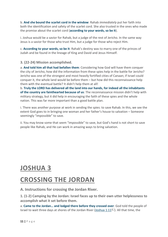b. **And she bound the scarlet cord in the window**: Rahab *immediately* put her faith into both the identification and safety of the scarlet cord. She also trusted in the ones who made the promise about the scarlet cord (**according to your words, so be it**).

i. Joshua would be a savior for Rahab, but a judge of the rest of Jericho. In the same way Jesus is a savior for those who trust Him, but a judge for those who reject Him.

c. **According to your words, so be it**: Rahab's destiny was to marry one of the princes of Judah and be found in the lineage of King and David and Jesus Himself.

**3. (22-24) Mission accomplished.**

a. **And told him all that had befallen them**: Considering how God will have them conquer the city of Jericho, how did the information from these spies help in the battle for Jericho? Jericho was one of the strongest and most heavily fortified cities of Canaan; if Israel could conquer it, the whole land would be before them – but how did this reconnaissance help them with the eventual battle? It didn't help them at all!

b. **Truly the LORD has delivered all the land into our hands, for indeed all the inhabitants of the country are fainthearted because of us**: The reconnaissance mission didn't help with military strategy, but it did help in encouraging the faith of these spies and the whole nation. This was far more important than a good battle plan.

i. There was another purpose at work in sending the spies: to save Rahab. In this, we see the extent God goes to in bringing one woman and her father's house to salvation – Someone seemingly "impossible" to save.

ii. You may know some that seem "impossible" to save, but God's hand is not short to save people like Rahab, and He can work in amazing ways to bring salvation.

### <span id="page-11-0"></span>**JOSHUA 3**

### <span id="page-11-1"></span>**CROSSING THE JORDAN**

<span id="page-11-2"></span>**A. Instructions for crossing the Jordan River.**

**1. (1-2) Camping by the Jordan: Israel faces up to their own utter helplessness to accomplish what it set before them.**

a. **Came to the Jordan… and lodged there before they crossed over**: God told the people of Israel to wait three days at shores of the Jordan River [\(Joshua](https://biblia.com/bible/esv/Josh%201.11) 1:11<sup>{L}</sup>[\)](libronixdls:keylink|ref=%5Ben%5Dbible:Josh1.11|res=LLS:ESV). All that time, the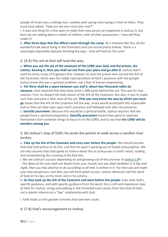people of Israel saw a rushing river, swollen with spring rains laying in front of them. They must have asked, "How can we *ever* cross this river?"

i. It was one thing for a few spies to make their way across (as happened in Joshua 2), but here we are talking about a nation of *millions*, with all their possessions – how will they make it?

b. **After three days that the officers went through the camp**: At a moment like this, all the wonderful talk about living in the Promised Land can sound pretty hollow. There is a seemingly impossible obstacle blocking the way – how will God do this one?

**2. (3-5) The ark of God will lead the way.**

a. **When you see the ark of the covenant of the LORD your God, and the priests, the Levites, bearing it, then you shall set out from your place and go after it**: Joshua didn't send his Army Corps of Engineers first. Instead, he sent the priests who carried the Ark of the Covenant, which was the visible representation of God's presence with the people. Joshua knew this was a *spiritual* problem, not a feat of human engineering.

b. **Yet there shall be a space between you and it, about two thousand cubits by measure**: God required that they keep some 1,000 yards behind the ark. This was for two reasons. First, to respect the holy nature of the Ark of the Covenant. But also, it was to make sure that everyone a clear view of the ark. **That you may know the way by which you must go** shows that the Ark of the Covenant led the way. Israel would accomplish this impossible task as they set their eyes upon God's presence and followed only after His presence. c. **Sanctify yourselves**: Because this would be a spiritual battle, Joshua requires that the people have a spiritual preparation. **Sanctify yourselves** means they were to separate themselves from common things to focus in on the LORD, and to see that **the LORD will do wonders among you**.

**3. (6) Joshua's step of faith: he sends the priests to walk across a swollen river Jordan.**

a. **Take up the Ark of the Covenant and cross over before the people**: We should assume that God *told* Joshua to do this, and that he wasn't working out of foolish presumption. We can also assume that God spoke to Joshua about this as Joshua was in God's word, reading and remembering the crossing of the Red Sea.

i. We see [Joshua](https://biblia.com/bible/esv/Josh%201.8)'s success depending on and growing out of the promise of Joshua 1: $8^{L}$ : This Book of the Law shall not depart from your mouth, but you shall meditate in it day and night, that you may observe to do according to all that is written in it. For then you will make *your way prosperous, and then you will have good success*. Joshua obviously had the word of God on his lips, on his mind, and in his actions.

b. **So they took up the Ark of the Covenant and went before the people**: Even with God's specific guidance, and with specific guidance from His word, this is still and impressive step of faith for Joshua. Living and walking in the Promised Land comes from this kind of faith, not a slavish reliance on a "law" relationship with God.

i. Faith leads us into greater victories than law ever could.

**4. (7-8) God's encouragement to Joshua.**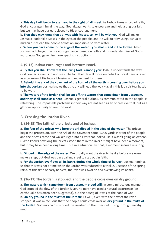a. **This day I will begin to exalt you in the sight of all Israel**: As Joshua takes a step of faith, God encourages him all the way. God always wants to encourage and help along our faith, but we may have our ears closed to His encouragement.

b. **That they may know that as I was with Moses, so I will be with you**: God will make Joshua a leader like Moses in the eyes of the people, and He will do it by using Joshua to miraculously lead the people across an impossible body of water.

c. **When you have come to the edge of the water… you shall stand in the Jordan**: After Joshua had obeyed the previous guidance, based on faith and his understanding of God's word, now God gave him more specific instructions.

**5. (9-13) Joshua encourages and instructs Israel.**

a. **By this you shall know that the living God is among you**: Joshua understands the way God connects events in our lives. The fact that He will move on behalf of Israel here is taken as a promise of His future blessing and movement for them.

B. **Behold, the ark of the covenant of the Lord of all the earth is crossing over before you into the Jordan**: Joshua knows that the ark will lead the way – again, this is a spiritual battle to be won.

c. **The waters of the Jordan shall be cut off, the waters that come down from upstream, and they shall stand as a heap**: Joshua's general outlook, as communicated to the people, is refreshing. The impossible problems in their way are not seen as an oppressive trial, but as a glorious opportunity to see God work.

#### <span id="page-13-0"></span>**B. Crossing the Jordan River.**

**1. (14-15) The faith of the priests and of Joshua.**

a. **The feet of the priests who bore the ark dipped in the edge of the water**: The priests begin the procession, with the Ark of the Covenant some 1,000 yards in front of the people, and the priests came and walked right into a river that looked like it wasn't going anywhere. i. Who knows how long the priests stood there in the river? It might have been a moment; but it may have been a long time – but in a situation like that, a moment *seems* like a long time!

b. **Dipped in the edge of the water**: We usually want the river to be dry before we even make a step; but God was truly calling Israel to step out in faith.

c. **For the Jordan overflows all its banks during the whole time of harvest**: Joshua reminds us that this was not a time when the Jordan was reduced to a trickle. Because of the spring rains, at this time of early harvest, the river was swollen and overflowing its banks.

**2. (16-17) The Jordan is stopped, and the people cross over on dry ground.**

a. **The waters which came down from upstream stood still**: In some miraculous manner, God stopped the flow of the Jordan River. He may have used a natural occurrence (an earthquake has often been suggested), but the *timing* of it was at the hand of God. b. **On dry ground in the midst of the Jordan**: As well, even with the flow of the river stopped, it was miraculous that the people could cross over on **dry ground in the midst of the Jordan**. God miraculously dried the riverbed so that they didn't slog through marshy mud.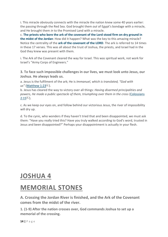i. This miracle obviously connects with the miracle the nation knew some 40 years earlier: the passing through the Red Sea. God brought them *out* of Egypt's bondage with a miracle, and He brought them *in* to the Promised Land with a miracle.

c. **The priests who bore the ark of the covenant of the Lord stood firm on dry ground in the midst of the Jordan**: How did it happen? What was the key to this amazing miracle? Notice the centrality of the **ark of the covenant of the LORD**. The ark is referred to 14 times in these 17 verses. This was all about the trust of Joshua, the priests, and Israel had in the God they knew was present with them.

i. The Ark of the Covenant cleared the way for Israel. This was spiritual work, not work for Israel's "Army Corps of Engineers."

**3. To face such impossible challenges in our lives, we must look unto Jesus, our Joshua. He always leads us.**

a. Jesus is the fulfilment of the ark; He is *Immanuel, which is translated, "God with us"* [\(Matthew](https://biblia.com/bible/esv/Matt%201.23) 1:2[3](libronixdls:keylink|ref=%5Ben%5Dbible:Matt1.23|res=LLS:ESV)<sup>L</sup>).

b. Jesus has cleared the way to victory over all things: *Having disarmed principalities and powers, He made a public spectacle of them, triumphing over them in the cross* [\(Colossians](https://biblia.com/bible/esv/Col%202.15)  $2:15^{\perp}$  $2:15^{\perp}$ ).

c. As we keep our eyes on, and follow behind our victorious Jesus, the river of impossibility will dry up.

d. To the cynic, who wonders if they haven't tried that and been disappointed, we must ask them: "Have you really tried this? Have you truly walked according to God's word, trusted in Jesus and been disappointed?" Perhaps your disappointment is actually in your flesh.

### <span id="page-14-0"></span>**JOSHUA 4**

### <span id="page-14-1"></span>**MEMORIAL STONES**

<span id="page-14-2"></span>**A. Crossing the Jordan River is finished, and the Ark of the Covenant comes from the midst of the river.**

**1. (1-9) After the nation crosses over, God commands Joshua to set up a memorial of the crossing.**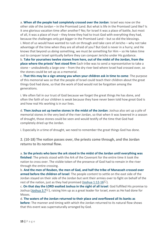a. **When all the people had completely crossed over the Jordan**: Israel was now on the other side of the Jordan – in the Promised Land. But what is life in the Promised Land like? Is it one glorious vacation time after another? No; for Israel it was a place of battle, but most of all, it was a place of *trust* – they knew they had to trust God with everything they had, because the challenges only got *bigger* in the Promised Land – but so did the blessings. i. Most of us would have wanted to rush on through and take care of Jericho – why not take advantage of the time when they are all afraid of you? But God is never in a hurry; and He knows that beyond us *doing* something, we must *be* something for Him – so He takes time out to conquer Israel spiritually before they can conquer Jericho under His guidance.

b. **Take for yourselves twelve stones from here, out of the midst of the Jordan, from the place where the priests' feet stood firm** Each tribe was to send a representative to take a stone – undoubtedly a large one – from the dry river bed where Israel had crossed over, so the stones could be set up as a memorial.

c. **That this may be a sign among you when your children ask in time to come**: The purpose of this memorial was so that the people of Israel could teach their children about the great things God had done, so that the work of God would not be forgotten among the generations.

i. We often fail in our trust of God because we forget the great things He has done, and often the faith of our children is weak because they have never been told how great God is and how real His working is in our lives.

d. **Then Joshua set up twelve stones in the midst of the Jordan**: Joshua also set up a pile of memorial stones in the very bed of the river Jordan, so that when it was lowered in a season of drought, those stones could be seen and would testify of the time that God had completely dried up the Jordan.

i. Especially in a time of drought, we need to remember the great things God has done.

**2. (10-18) The nation passes over, the priests come through, and the Jordan returns to its normal flow.**

a. **So the priests who bore the ark stood in the midst of the Jordan until everything was finished**: The priests stood with the Ark of the Covenant for the entire time it took the nation to cross over. The visible token of the presence of God had to remain in the river through the entire crossing.

b. **And the men of Reuben, the men of Gad, and half the tribe of Manasseh crossed over armed before the children of Israel**: The people content to settle on the east side of the Jordan stayed on their side of the Jordan but sent their armies over to fight on behalf of the rest of the nation, just as they had promised (Joshua [1:12-16](https://biblia.com/bible/esv/Josh%201.12-16) $L$ ).

c. **On that day the LORD exalted Joshua in the sight of all Israel**: God fulfilled His promise to Joshua [\(Joshua](https://biblia.com/bible/esv/Josh%203.7) 3:7 $\Box$ ), raising him up as a great leader for Israel, even as He had done for Moses.

d. **The waters of the Jordan returned to their place and overflowed all its banks as before**: The manner and timing with which the Jordan returned to its natural flow shows that this event was supernaturally arranged by God.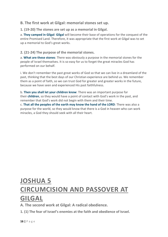#### <span id="page-16-0"></span>**B. The first work at Gilgal: memorial stones set up.**

**1. (19-20) The stones are set up as a memorial in Gilgal.**

a. **They camped in Gilgal**: **Gilgal** will become their base of operations for the conquest of the entire Promised Land. Therefore, it was appropriate that the first work at Gilgal was to set up a memorial to God's great works.

#### **2. (21-24) The purpose of the memorial stones.**

a. **What are these stones**: There was obviously a purpose in the memorial stones for the people of Israel themselves. It is so easy for us to forget the great miracles God has performed on our behalf.

i. We don't remember the past great works of God so that we can live in a dreamland of the past, thinking that the best days of our Christian experience are behind us. We remember them as a point of faith, so we can trust God for greater and greater works in the future, because we have seen and experienced His past faithfulness.

b. **Then you shall let your children know**: There was an important purpose for their **children**, so they would have a point of contact with God's work in the past, and remember that God's work did not begin with them and their time.

c. **That all the peoples of the earth may know the hand of the LORD**: There was also a purpose for the world, so they would know that there is a God in heaven who can work miracles, a God they should seek with all their heart.

# <span id="page-16-2"></span><span id="page-16-1"></span>**JOSHUA 5 CIRCUMCISION AND PASSOVER AT GILGAL**

<span id="page-16-3"></span>**A. The second work at Gilgal: A radical obedience.**

**1. (1) The fear of Israel's enemies at the faith and obedience of Israel.**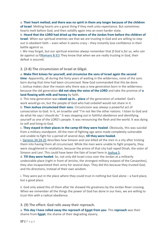a. **Their heart melted; and there was no spirit in them any longer because of the children**

**of Israel**: Melting hearts are a great thing if they melt unto repentance. But sometimes hearts melt before God, and then solidify again into an even harder state.

b. **Heard that the LORD had dried up the waters of the Jordan from before the children of Israel**: When our spiritual enemies see that we are trusting in God and are willing to step out in obedient faith – even when it seems crazy – they instantly lose confidence in their battle against us.

i. We may forget, but our spiritual enemies always remember that *If God is for us, who can be against us?*[\(Romans](https://www.blueletterbible.org/search/preSearch.cfm?Criteria=Romans+8.31&t=NKJV) 8:31) They know that when we are really trusting in God, their defeat is assured.

**2. (2-8) The circumcision of Israel at Gilgal.**

a. **Make flint knives for yourself, and circumcise the sons of Israel again the second time**: Apparently, all during the forty years of waiting in the wilderness, none of the sons born during that time had been circumcised. Now God commanded that this be done. i. Joshua makes clear the reason why there was a new generation born in the wilderness: because the old generation **did not obey the voice of the LORD** and take the promise of **a land flowing with milk and honey** by faith.

ii. This new generation was **raised up in… place** of the generation of unbelief. God's work *would* go on, but the people of God who had unbelief would not share in it.

b. **Then Joshua circumcised their sons**: Circumcision was always a powerful act of consecration to God. In it, an Israelite said "I'm not like the other nations. I listen to God and do what He says I should do." It was stepping out in faithful obedience and identifying yourself as one of the LORD's people. It was renouncing the flesh and the world. It was dying to self and living to God.

c. **They stayed in their places in the camp till they were healed**: Obviously, this was suicidal from a military standpoint. All the men of fighting age were made completely vulnerable and unable to fight for a period of several days, **till they were healed**.

i. Genesis [34:24-25](https://www.blueletterbible.org/search/preSearch.cfm?Criteria=Genesis+34.24-25&t=NKJV) describes how Simeon and Levi killed all the men in a city after tricking them into having them all circumcised. While the men were unable to fight properly, they were slaughtered in retaliation, because the prince of that city had raped Dinah, the sister of Simeon and Levi. This could have been the fate of Israel here in [Joshua](https://www.blueletterbible.org/search/preSearch.cfm?Criteria=Joshua+5&t=NKJV) 5.

d. **Till they were healed**: So, not only did Israel cross over the Jordan at a militarily undesirable place (right in front of Jericho, the strongest military outpost of the Canaanites), they also incapacitated their army for several days. They did this because they trusted God, and His directions, instead of their own wisdom.

i. They were put in the place where they could trust in nothing but God alone – a hard place, but a good place.

ii. God only asked this of them after He showed His greatness by the Jordan River crossing. When we remember all the things the power of God has done in our lives, we are willing to trust Him with a radical obedience.

**3. (9) The effect: God rolls away their reproach.**

a. **This day I have rolled away the reproach of Egypt from you**: This **reproach** was their shame from **Egypt**, the shame of their degrading slavery.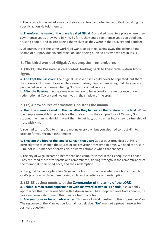i. The reproach was rolled away by their radical trust and obedience to God, by taking the specific action He told them to.

b. **Therefore the name of the place is called Gilgal**: God called Israel to a place where they saw themselves as they were in Him. By faith, they could see themselves as an obedient, trusting people, and to stop seeing themselves as they were in their slavery and bondage.

i. Of course, this is the same work God wants to do in us, taking away the dishonor and shame of our previous sin and rebellion, and seeing ourselves as who we are in Jesus.

#### <span id="page-18-0"></span>**B. The third work at Gilgal: A redemption remembered.**

**1. (10-11) The Passover is celebrated: looking back to their redemption from Egypt.**

a. **And kept the Passover**: The original Passover itself could never be repeated, but there was power in its remembrance. They were to always live remembering that they were a people delivered and remembering God's work of deliverance.

b. **After the Passover**: In the same way, we are to be in constant remembrance of our redemption at Calvary and live our lives in the shadow of the cross.

#### **2. (12) A new source of provision: God stops the manna.**

a. **Then the manna ceased on the day after they had eaten the produce of the land**: When the people were able to provide for themselves from the rich produce of Canaan, God stopped the manna. He didn't want them to get lazy, but to enter into a new partnership of trust with Him.

i. You had to trust God to bring the manna every day; but you also had to trust Him to provide for you through other means.

b. **They ate the food of the land of Canaan that year**: God always provides; but He is perfectly free to change the source of His provision from time to time. We need to trust in Him, not in His manner of provision, or we will stumble when that changes.

i. The city of Gilgal became a beachhead and camp for Israel in their conquest of Canaan. They returned there after battle and remembered, finding strength in the remembrance of the memorial, their obedience, and their redemption.

ii. It is good to have a place like Gilgal in our life. This is a place where we first come into God's promises, a place of memorial, a place of obedience and redemption.

**3. (13-15) Joshua meets with the Commander of the army of the LORD.** a. **Behold, a Man stood opposite him with His sword drawn in His hand**: Joshua boldly approaches this mysterious Man with a drawn sword. As a shepherd over God's people, he has a responsibility to see if this man is a friend or a foe.

b. **Are you for us or for our adversaries**: This was a logical question to this impressive Man. The response of the Man was curious, almost elusive. "**No**" was not a proper answer for Joshua's question.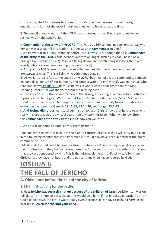i. In a sense, the Man refuses to answer Joshua's question because it is not the right question, and it is not the most important question to be asked at the time.

ii. The question really wasn't if the LORD was on Joshua's side. The proper question was if Joshua was on the LORD's side.

c. **Commander of the army of the LORD**: This was God Himself pulling rank on Joshua, who himself was a great military leader – but he was not **Commander** in Chief.

i. We know that this Being, standing before Joshua, was God. Though the title **Commander of the army of the LORD** could perhaps apply to an angel (such as Michael, based on a passage like [Revelation](https://www.blueletterbible.org/search/preSearch.cfm?Criteria=Revelation+12.7&t=NKJV) 12:7), Joshua's falling down, and worshipping is inconsistent with angels, who never receive worship [\(Revelation](https://www.blueletterbible.org/search/preSearch.cfm?Criteria=Revelation+22.8&t=NKJV) 22:8).

ii. **Army of the LORD** here is used in a way that implies that the armies commanded are *angelic* armies. This is a Being who commands angels.

iii. As well, Joshua refers to the angel as **my LORD**; but most of all, the command to remove his sandals (a picture of our humanity and contact with a "dirty" world), was to Joshua (who read and knew [Exodus](https://www.blueletterbible.org/search/preSearch.cfm?Criteria=Exodus+3.4-6&t=NKJV) 3:4-6because he was in God's word) clear proof that the Man standing before him was the voice from the burning bush.

iv. The idea of Jesus, the Second Person of the Trinity, appearing as a man before Bethlehem is provocative, but logical. We know that He *existed* before Bethlehem [\(Micah](https://www.blueletterbible.org/search/preSearch.cfm?Criteria=Micah+5.2&t=NKJV) 5:2); why should He *not*, on isolated but important occasions, appear in bodily form? This idea is also evident in passages like Genesis [18:16-33,](https://www.blueletterbible.org/search/preSearch.cfm?Criteria=Genesis+18.16-33&t=NKJV) [32:24-30,](https://www.blueletterbible.org/search/preSearch.cfm?Criteria=Genesis+32.24-30&t=NKJV) and Judges [13:1-23.](https://www.blueletterbible.org/search/preSearch.cfm?Criteria=Judges+13.1-23&t=NKJV)

c. **And Joshua did so**: Joshua's total submission to Jesus Christ shows that he knows who is really in charge. It also is a virtual guarantee of victory for Israel. When we follow after the **Commander of the army of the LORD**, how can we lose?

i. Why did Jesus come to Israel at this strategic time?

· He had come to instruct Joshua in the plan to capture Jericho. Joshua will carry out a plan in the following chapter that is so improbable it could *only* have been initiated at the direct command of God.

· Most of all, He had come to conquer Israel – before Israel could conquer anything else in the promised land, they had to be conquered by God – and Joshua's total submission shows that they are conquered by Him. This is the missing element in a life of victory for many Christians; they have not been, and are not continually being, conquered by God.

### <span id="page-19-1"></span><span id="page-19-0"></span>**JOSHUA 6 THE FALL OF JERICHO**

<span id="page-19-2"></span>**A. Obedience before the fall of the city of Jericho.**

#### **1. (1-5) Instructions for the battle.**

a. **Now Jericho was securely shut up because of the children of Israel**: Jericho itself was on full alert; from a human perspective, this would be a hard, if not impossible, battle. Yet from God's perspective, the battle was already over, because He can say to Joshua **I** *have*(in the past tense) **given Jericho into your hand**.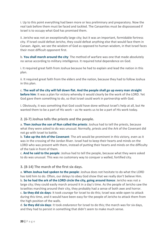i. Up to this point everything had been more or less preliminary and preparatory. Now the real task before them must be faced and tackled. The Canaanites must be dispossessed if Israel is to occupy what God has promised them.

ii. Jericho was not an exceptionally large city; but it was an important, formidable fortress city. If Israel could defeat Jericho, they could defeat anything else that would face them in Canaan. Again, we see the wisdom of God as opposed to human wisdom, in that Israel faces their most difficult opponent first.

b. **You shall march around the city**: The method of warfare was one that made absolutely no sense according to military intelligence. It required total dependence on God.

i. It required great faith from Joshua because he had to explain and lead the nation in this plan.

ii. It required great faith from the elders and the nation, because they had to follow Joshua in this plan.

c. **The wall of the city will fall down flat. And the people shall go up every man straight before him**: It was a plan for victory whereby it would clearly be the work of the LORD. Yet God gave them something to do, so that Israel could work in partnership with God.

i. Obviously, it was something that God could have done without Israel's help at all, but He wanted them to be a part of His work – as He wants us to be a part of His work today.

**2. (6-7) Joshua tells the priests and the people.**

a. **Then Joshua the son of Nun called the priests**: Joshua had to tell the priests, because what they were asked to do was unusual. Normally, priests and the Ark of the Covenant did not go with Israel to battle.

b. **Take up the Ark of the Covenant**: The ark would be prominent in this victory, even as it was in the crossing of the Jordan River. Israel had to keep their hearts and minds on the LORD who was present with them, instead of putting their hearts and minds on the difficulty of the task in front of them.

c. **And he said to the people**: Joshua had to tell the people, because what they were asked to do was unusual. This was no customary way to conquer a walled, fortified city.

**3. (8-14) The march of the first six days.**

a. **When Joshua had spoken to the people**: Joshua does not hesitate to do what the LORD has told him to do. Often, our delays to obey God show that we really don't believe Him. b. **So he had the ark of the LORD circle the city, going around itonce**: Jericho was not a large city; they could easily march around it in a day's time. As the people of Jericho saw the Israelites marching around their city, they probably had a sense of both awe and horror. c. **So they did six days**: It took *courage* for Israel to do this; Israel was wide open to attack

during this time, and it would have been easy for the people of Jericho to attack them from the high position of the walls.

d. **So they did six days**: It took *endurance* for Israel to do this; the march was for six days, and they had to persist in something that didn't seem to make much sense.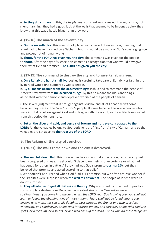e. **So they did six days**: In this, the *helplessness* of Israel was revealed; through six days of silent marching, they had a good look at the walls that seemed to be impenetrable – they knew that this was a battle bigger than they were.

#### **4. (15-16) The march of the seventh day.**

a. **On the seventh day**: This march took place over a period of seven days, meaning that Israel had to have marched on a Sabbath; but this would be a work of God's sovereign grace and power, not of human works.

b. **Shout, for the LORD has given you the city**: The command was given for the people to **shout**. After the days of silence, this comes as a recognition that God would now give them what He had promised. **The LORD has given you the city!**

**5. (17-19) The command to destroy the city and to save Rahab is given.**

a. **Only Rahab the harlot shall live**: Joshua is careful to take care of Rahab. Her faith in the living God would find support by God's people.

b. **By all means abstain from the accursed things**: Joshua had to command the people of Israel to stay away from **the accursed things**. By this he means the idols and things associated with the demonic and depraved worship of the people of Canaan.

i. The severe judgment that is brought against Jericho, and all of Canaan didn't come because they were in the "way" of God's people. It came because this was a people who were in total rebellion against God and in league with the occult, as the artifacts recovered from this period demonstrate.

c. **But all the silver and gold, and vessels of bronze and iron,** *are* **consecrated to the** LORD: All the valuables belong to God; Jericho is the "first fruits" city of Canaan, and so the valuables are set apart to **the treasury of the LORD**.

<span id="page-21-0"></span>**B. The taking of the city of Jericho.**

**1. (20-21) The walls come down and the city is destroyed.**

a. **The wall fell down flat**: This miracle was beyond normal expectation; no other city had been conquered this way. Israel couldn't depend on their prior experience or what had happened for others in battle. All they had was God's promise [\(Joshua](https://www.blueletterbible.org/search/preSearch.cfm?Criteria=Joshua+6.5&t=NKJV) 6:5), but they believed that promise and acted according to that belief.

i. We shouldn't be surprised when God fulfills His promise, but we often are. We wonder if the Israelites were surprised when **the wall fell down flat**. The people of Jericho were no doubt surprised.

b. **They utterly destroyed all that was in the city**: Why was Israel commanded to practice such complete destruction? Because the greatest sins of the Canaanites were spiritual: *When you come into the land which the LORD your God is giving you, you shall not learn to follow the abominations of those nations. There shall not be found among you anyone who makes his son or his daughter pass through the fire, or one who practices witchcraft, or a soothsayer, or one who interprets omens, or a sorcerer, or one who conjures* spells, or a medium, or a spirits, or one who calls up the dead. For all who do these things are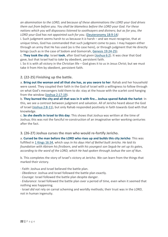*an abomination to the LORD, and because of these abominations the LORD your God drives them out from before you. You shall be blameless before the LORD your God. For these nations which you will dispossess listened to soothsayers and diviners; but as for you, the LORD your God has not appointed such for you.* [\(Deuteronomy](https://www.blueletterbible.org/search/preSearch.cfm?Criteria=Deuteronomy+18.9-14&t=NKJV) 18:9-14*)*

i. Such judgment seems harsh to us because it *is* harsh – and we must recognize, that at unique times, God has commanded that such judgment come to pass. I may happen either through an army that He has used (as is the case here), or through judgment that He directly brings (such as in the case of Sodom and Gomorrah, Genesis [19:24-25\)](https://www.blueletterbible.org/search/preSearch.cfm?Criteria=Genesis+19.24-25&t=NKJV)*.*

c. **They took the city**: Israel **took**, after God had *given* [\(Joshua](https://www.blueletterbible.org/search/preSearch.cfm?Criteria=Joshua+6.2&t=NKJV) 6:2). It was clear that God gave, but that Israel had to *take* by obedient, persistent faith*.*

i. So it is with all victory in the Christian life – God gives it to us in Jesus Christ; but we must take it from Him by obedient, persistent faith*.*

#### **2. (22-25) Finishing up the battle.**

a. **Bring out the woman and all that she has, as you swore to her**: Rahab and her household were saved. They coupled their faith in the God of Israel with a willingness to follow through on what God's messengers told them to do: stay at the house with the scarlet cord hanging from the window (Joshua [2:17-19\)](https://www.blueletterbible.org/search/preSearch.cfm?Criteria=Joshua+2.17-19&t=NKJV).

b. **They burned the city and all that was in it with fire… Joshua spared Rahab the harlot**: In this, we see a contrast between judgment and salvation. All of Jericho heard about the God of Israel [\(Joshua](https://www.blueletterbible.org/search/preSearch.cfm?Criteria=Joshua+2.8-11&t=NKJV) 2:8-11), but only Rahab responded positively in faith towards God with that knowledge.

c. **So she dwells in Israel to this day**: This shows that Joshua was written at the time of Joshua; this was not the fanciful re-construction of an imaginative writer working centuries after the fact.

#### **3. (26-27) Joshua curses the man who would re-fortify Jericho.**

a. **Cursed be the man before the LORD who rises up and builds this city Jericho**: This was fulfilled in 1 Kings [16:34,](https://www.blueletterbible.org/search/preSearch.cfm?Criteria=1Kings+16.34&t=NKJV) which says *In his days Hiel of Bethel built Jericho. He laid its foundation with Abiram his firstborn, and with his youngest son Segub he set up its gates, according to the word of the LORD, which He had spoken through Joshua the son of Nun*.

b. This completes the story of Israel's victory at Jericho. We can learn from the things that marked their victory.

· *Faith*: Joshua and Israel believed the battle plan.

· *Obedience*: Joshua and Israel followed the battle plan exactly.

· *Courage*: Israel followed the battle plan despite danger.

· *Endurance*: Israel followed the battle plan over a period of time, even when it seemed that nothing was happening.

· Israel *did not* rely on carnal scheming and worldly methods; their trust was in the *LORD*, not in human ingenuity.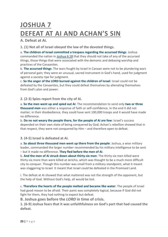## <span id="page-23-1"></span><span id="page-23-0"></span>**JOSHUA 7 DEFEAT AT AI AND ACHAN'S SIN**

<span id="page-23-2"></span>**A. Defeat at Ai.**

**1. (1) Not all of Israel obeyed the law of the devoted things.**

a. **The children of Israel committed a trespass regarding the accursed things**: Joshua commanded the nation in [Joshua](https://www.blueletterbible.org/search/preSearch.cfm?Criteria=Joshua+6.18&t=NKJV) 6:18 that they should not take of any of the accursed things, those things that were associated with the demonic and debasing worship and practices of the Canaanites.

b. **The accursed things**: The wars fought by Israel in Canaan were not to be plundering wars of personal gain; they were an unusual, sacred instrument in God's hand, used for judgment against a society ripe for judgment.

c. **So the anger of the LORD burned against the children of Israel**: Israel could not be defeated by the Canaanites, but they could defeat themselves by alienating themselves from God's plan and power.

**2. (2-3) Spies report from the city of Ai.**

a. **So the men went up and spied out Ai**: The recommendation to send only **two or three thousand men** was either a response of faith or self-confidence. In the end it did not matter; in their disobedience, they could have sent 100,000 troops and it would have made no difference.

b. **Do no not weary the people there, for the people of Ai are few**: Israel's success depended on their own state of being conquered by God; Achan's rebellion showed that in that respect, they were not conquered by Him – and therefore open to defeat.

**3. (4-5) Israel is defeated at Ai.**

a. **So about three thousand men went up there from the people**: Joshua, a wise military leader, commanded the larger number recommended by his military intelligence to be sent – but it made no difference. **They fled before the men of Ai**.

b. **And the men of Ai struck down about thirty-six men**: The thirty-six men killed were thirty-six more than were killed at Jericho, which was thought to be a much more difficult city to conquer. Though this number was small from a military standpoint, what it meant was staggering to Israel. It meant that Israel *could* be defeated in the Promised Land.

i. The defeat at Ai showed that what mattered was not the strength of the opponent, but the help of God. Without God's help, all would be lost.

c. **Therefore the hearts of the people melted and became like water**: The people of Israel had good reason to be afraid. Their panic was completely logical, because if God did not fight for them, they had nothing to expect but defeat.

<span id="page-23-3"></span>**B. Joshua goes before the** *LORD* **in time of crisis.**

**1. (6-9) Joshua fears that it was unfaithfulness on God's part that had caused the defeat.**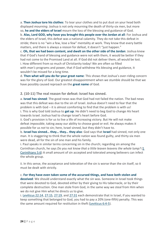a. **Then Joshua tore his clothes**: To tear your clothes and to put dust on your head both displayed *mourning*. Joshua is not only mourning the death of thirty-six men, but more so, **he and the elders of Israel** mourn the loss of the blessing and guidance of God.

b. **Alas, Lord GOD, why have you brought this people over the Jordan at all**: For Joshua and the elders of Israel, this defeat was a national calamity. They do not take this defeat in stride; there is no "win a few, lose a few" mentality at work. They know that every battle matters, and there is always a *reason* for defeat, it doesn't "just happen."

c. **Oh, that we had been content, and dwelt on the other side of the Jordan**: Joshua knew that if God's hand of blessing and guidance were not with them, it would be better if they had not come to the Promised Land at all. If God did not deliver them, all would be lost. i. How different from so much of Christianity today! We are often so filled with *man's* programs and power, that if God withdrew His blessing and guidance, it wouldn't be missed for a long time.

d. **Then what will you do for your great name**: This shows that Joshua's over-riding concern was for the glory of God. Our greatest disappointment when we stumble should be that we have possibly caused reproach on the **great name** of God.

**2. (10-11) The real reason for defeat: Israel has sinned.**

a. **Israel has sinned**: The good news was that God had not failed the nation. The bad news was that this defeat was due to the sin of Israel. Joshua doesn't need to fear that the problem is with God – it is almost comforting to find that the problem is with us! i. This is why God told Joshua to **get up**. He didn't need to beg God to change *His* heart towards Israel. Joshua had to change Israel's heart before God.

ii. God's provision is for us to live a life of increasing victory. But He will not make defeat *impossible*, taking away our ability to choose good or evil. He always makes it possible for us *not* to sin; here, Israel sinned, but they didn't have to.

b. **Israel has sinned… they… they… they also**: God says that **Israel** had sinned, not only one man. It is staggering to think that the whole nation was found guilty, and thirty-six men were dead, all for the sin of one man and his family.

i. Paul speaks in similar terms concerning sin in the church; regarding sin among the Corinthian church, he says *Do you not know that a little leaven leavens the whole lump?* [\(1](https://www.blueletterbible.org/search/preSearch.cfm?Criteria=1Corinthians+5.6&t=NKJV) [Corinthians](https://www.blueletterbible.org/search/preSearch.cfm?Criteria=1Corinthians+5.6&t=NKJV) 5:6) A small amount of sin accepted and tolerated among believers can infect the whole group.

ii. In this sense, the acceptance and toleration of the sin is worse than the sin itself, so it must be dealt with strictly.

c. **For they have even taken some of the accursed things, and have both stolen and**

**deceived**: We should understand exactly what the sin was. Someone in Israel took things that were devoted to God, devoted either by their giving to His tabernacle, or by their complete destruction. One man stole from God, in the same way we steal from Him when we do not give Him what he directs us to give.

i. [Leviticus](https://www.blueletterbible.org/search/preSearch.cfm?Criteria=Leviticus+22.14&t=NKJV) 22:14, [27:15,](https://www.blueletterbible.org/search/preSearch.cfm?Criteria=Leviticus+27.15&t=NKJV) [27:19,](https://www.blueletterbible.org/search/preSearch.cfm?Criteria=Leviticus+27.19&t=NKJV) and [27:31](https://www.blueletterbible.org/search/preSearch.cfm?Criteria=Leviticus+27.31&t=NKJV) each demonstrate that in Israel, if you wanted to keep something that belonged to God, you had to pay a 20% (one-fifth) penalty. This was the same amount required for restitution in theft [\(Leviticus](https://www.blueletterbible.org/search/preSearch.cfm?Criteria=Leviticus+6.4-5&t=NKJV) 6:4-5).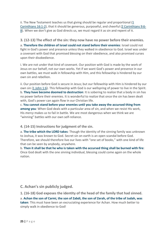ii. The New Testament teaches us that giving should be regular and proportional [\(1](https://www.blueletterbible.org/search/preSearch.cfm?Criteria=1Corinthians+16.1-2&t=NKJV) [Corinthians](https://www.blueletterbible.org/search/preSearch.cfm?Criteria=1Corinthians+16.1-2&t=NKJV) 16:1-2), that it should be generous, purposeful, and cheerful (2 [Corinthians](https://www.blueletterbible.org/search/preSearch.cfm?Criteria=2Corinthians+9.6-8&t=NKJV) 9:6- [8\)](https://www.blueletterbible.org/search/preSearch.cfm?Criteria=2Corinthians+9.6-8&t=NKJV). When we don't give as God directs us, we must regard it as sin and repent of it.

#### **3. (12-13) The effect of the sin: they now have no power before their enemies.**

a. **Therefore the children of Israel could not stand before their enemies**: Israel could not fight in God's power and presence unless they walked in obedience to God. Israel was under a covenant with God that promised blessing on their obedience, and also promised curses upon their disobedience.

i. We are not under that kind of covenant. Our position with God is made by the work of Jesus on our behalf, not our own works. Yet if we want God's power and presence in our own battles, we must walk in fellowship with Him, and this fellowship is hindered by our own sin and rebellion.

ii. Our position before God is secure in Jesus; but our fellowship with Him is hindered by our own sin (1 [John](https://www.blueletterbible.org/search/preSearch.cfm?Criteria=1John+1.6&t=NKJV) 1:6). This fellowship with God is our wellspring of power to live in the Spirit. b. **They have become doomed to destruction**: It is sobering to realize that a body in sin has no power before their enemies. It is wonderful to realize that once the sin has been dealt with, God's power can again flow in our Christian life.

c. **You cannot stand before your enemies until you take away the accursed thing from among you**: When God deals with a particular area of sin, and when we resist His work, His *mercy* makes us to fail in battle. We are most dangerous when we think we are "winning" battles with our own self-reliance.

**4. (14-15) Instructions for judgment of the sin.**

a. **The tribe which the LORD takes**: Though the identity of the sinning family was unknown to Joshua, it was known to God. Secret sin on earth is an open scandal before God. Therefore, we should therefore live our lives with "one set of books," with one kind of life that can be seen by anybody, anywhere.

b. **Then it shall be that he who is taken with the accursed thing shall be burned with fire**: Once God dealt with the one sinning individual, blessing could come again on the whole nation.

<span id="page-25-0"></span>**C. Achan's sin publicly judged.**

**1. (16-18) God exposes the identity of the head of the family that had sinned.**

a. **Achan the son of Carmi, the son of Zabdi, the son of Zerah, of the tribe of Judah, was taken**: This must have been an excruciating experience for Achan. How much better to simply walk in obedience to God!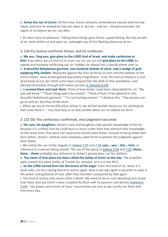b. **Achan the son of Carmi**: All this time, Achan certainly remembered exactly what he had taken, and how he wished he had not taken it. But he – and we – should remember the regret of sin *before* we sin, not after.

i. Sin does have its pleasures. Taking those things gave Achan a good feeling. But the penalty of sin, both within us and upon us, outweighs any of the fleeting pleasures of sin.

#### **2. (19-21) Joshua confronts Achan, and he confesses.**

a. **My son, I beg you, give glory to the LORD God of Israel, and make confession to Him**: Even when we sin and try to cover our sin, we can still **give glory to the LORD** by openly and honestly confessing our sin. Hidden sin always has a special power over us. b. **A beautiful Babylonian garment, two hundred shekels of silver, and a wedge of gold weighing fifty shekels**: Measured against the lives of thirty-six men and the welfare of the entire nation, what Achan gained was pretty insignificant. Truly, *the love of money is a root of all kinds of evil, for which some have strayed from the faith in their greediness, and pierced themselves through with many sorrows* (1 [Timothy](https://www.blueletterbible.org/search/preSearch.cfm?Criteria=1Timothy+6.10&t=NKJV) 6:10).

c. **I coveted them and took them**: Think of how Achan could have rationalized his sin: "No one will know." "These things won't be missed." "Think of how I'll be admired in this beautiful Babylonian garment." "I'm not hurting anyone." "I deserve this." The excuses can go on and on, but they all fall short.

i. When we are at the terrible place Achan is, we all feel terrible about our sin, wishing we had never done it – may God help us to feel terrible about our sin *before* we do it!

#### **2. (22-26) The confession confirmed, and judgment executed.**

a. **His sons, his daughters**: Achan's sons and daughters had specific knowledge of the sin because it is unlikely that he could bury so much under their tent without their knowledge. At the same time, they were not necessarily stoned with Achan. Instead of being killed with their father, Achan's children were probably called forth to witness the judgment against their father.

i. We notice the use of the singular in [Joshua](https://www.blueletterbible.org/search/preSearch.cfm?Criteria=Joshua+7.25&t=NKJV) 7:25 and [7:26](https://www.blueletterbible.org/search/preSearch.cfm?Criteria=Joshua+7.26&t=NKJV) (**you… you… him… him**), in reference to a person being stoned. The use of the plural in [Joshua](https://www.blueletterbible.org/search/preSearch.cfm?Criteria=Joshua+7.24&t=NKJV) 7:24 and [7:25](https://www.blueletterbible.org/search/preSearch.cfm?Criteria=Joshua+7.25&t=NKJV) (**them… them… them**) probably has reference to Achan's possessions, not his children.

b. **The name of that place has been called the Valley of Achor to this day**: The Israelites aptly named this place *Valley of Trouble* (or, *disaster*, as it is in the NIV).

c. **So the LORD turned from the fierceness of His anger**: Even this kind of sin, when it is dealt with, can be a spring board to victory again. Now Israel was again in position to walk in the power and guidance of God, after they had been conquered by God again.

i. This kind of victory only comes after a *death*. We need to die to such besetting sins, know that *those who are Christ's have crucified the flesh with its passions and desires* [\(Galatians](https://www.blueletterbible.org/search/preSearch.cfm?Criteria=Galatians+5.24&t=NKJV) [5:24\)](https://www.blueletterbible.org/search/preSearch.cfm?Criteria=Galatians+5.24&t=NKJV) – the power and victory of Jesus' resurrection are ours as we crucify our flesh with Him every day.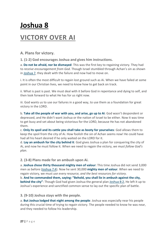# <span id="page-27-0"></span>**Joshua 8 VICTORY OVER AI**

<span id="page-27-1"></span>**A. Plans for victory.**

**1. (1-2) God encourages Joshua and gives him instructions.**

a. **Do not be afraid, nor be dismayed**: This was the first key to regaining victory. They had to *receive encouragement from God*. Though Israel stumbled through Achan's sin as shown in [Joshua](https://www.blueletterbible.org/search/preSearch.cfm?Criteria=Joshua+7&t=NKJV) 7, they dealt with the failure and now had to move on.

i. It is often the most difficult to regain lost ground such as Ai. When we have failed at some point in our Christian lives, we need to know how to get back on track.

ii. What is past is past. We must deal with it before God in repentance and dying to self, and then look forward to what He has for us right now.

iii. God wants us to use our failures in a good way, to use them as a foundation for great victory in the LORD.

b. **Take all the people of war with you, and arise, go up to Ai**: God wasn't despondent or depressed, and He didn't want Joshua or the nation of Israel to be either. Now it was time to get busy and set about being victorious for the LORD, because He has not abandoned them.

c. **Only its spoil and its cattle you shall take as booty for yourselves**: God allows them to keep the spoil from the city of Ai. How foolish the sin of Achan seems now! He could have had all his heart desired if he only waited on the LORD for it.

d. **Lay an ambush for the city behind it**: God gives Joshua a plan for conquering the city of Ai, and now he must follow it. When we need to regain the victory, *we must follow God's plan*.

**2. (3-8) Plans made for an ambush upon Ai.**

a. **Joshua chose thirty thousand mighty men of valour**: This time Joshua did not send 3,000 men as before [\(Joshua](https://www.blueletterbible.org/search/preSearch.cfm?Criteria=Joshua+7.4&t=NKJV) 7:4). Now he sent 30,000 **mighty men of valour**. When we need to regain victory, we must *use every resource, and the best resources for victory*.

b. **And he commanded them, saying: "Behold, you shall lie in ambush against the city, behind the city"**: Though God had given Joshua the general plan [Joshua](https://www.blueletterbible.org/search/preSearch.cfm?Criteria=Joshua+8.2&t=NKJV) 8:2, He left it up to Joshua's experience and sanctified common sense to lay out the specific plan of battle.

**3. (9-10) Joshua stays with the people.**

a. **But Joshua lodged that night among the people**: Joshua was especially near his people during this crucial time of trying to regain victory. The people needed to know he was near, and they needed to follow his leadership.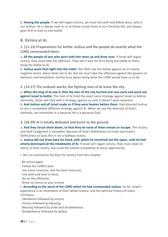b. **Among the people**: If we will regain victory, we must *live with and follow Jesus*, who is our Joshua. He is always near to us at these crucial times in our Christian life, and always goes first to lead us into battle.

#### <span id="page-28-0"></span>**B. Victory at Ai.**

**1. (11-13) Preparations for battle: Joshua and the people do exactly what the LORD commanded them.**

a. **All the people of war who** *were* **with him went up and drew near**: If Israel will regain victory, they must *take the offensive*. They don't wait for Ai to bring the battle to them, bring the battle to Ai.

b. **Joshua went that night into the midst**: We often see the battle against sin in mainly negative terms, about what *not* to do. But we must take the offensive against the powers of darkness and temptation and be busy about doing what the LORD would have us to do.

**2. (14-17) The ambush works; the fighting men of Ai leave the city.**

a. When the king of Ai saw it, that the men of the city hurried and rose early and went out **against Israel to battle**: The men of Ai tried the exact same strategy against Israel as before. Generally, Satan will stick with a strategy against us until it doesn't work anymore. b. **And Joshua and all Israel made as if they were beaten before them**: God directed Joshua to use a completely different strategy against Ai. When we see the diversity of God's methods, we remember it is because He is a personal God.

**3. (18-29) Ai is totally defeated and burnt to the ground.**

a. **And they struck them down, so that they let none of them remain or escape**: The victory and God's judgment is complete. Because of God's faithfulness to Israel and Israel's faithfulness to God, this is not a halfway victory.

b. **Joshua did not draw back his hand, with which he stretched out the spear, until he had utterly destroyed all the inhabitants of Ai**: If Israel will regain victory, they must *show no mercy to their enemy*, but crush the enemy completely at every opportunity.

i. We can summarize the keys for victory from this chapter:

- · Be encouraged.
- · Follow the LORD's plan.
- · Use every resource, and the best resources.
- · Live with and look to Jesus.
- · Go on the offensive.
- · Show no mercy to your enemy.

c. **According to the word of the LORD which He had commanded Joshua**: So far, Israel's experience is an illustration of their whole history, and the spiritual history of many Christians.

- · Obedience followed by victory.
- · Victory followed by blessing.
- · Blessing followed by pride and disobedience.
- · Disobedience followed by defeat.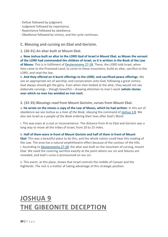- · Defeat followed by judgment.
- · Judgment followed by repentance.
- · Repentance followed by obedience.
- <span id="page-29-0"></span>· Obedience followed by victory, and the cycle continues.

#### **C. Blessing and cursing on Ebal and Gerizim.**

#### **1. (30-31) An altar built at Mount Ebal.**

a. **Now Joshua built an altar to the LORD God of Israel in Mount Ebal, as Moses the servant of the LORD had commanded the children of Israel, as it is written in the Book of the Law of Moses**: This is in fulfilment of [Deuteronomy](https://www.blueletterbible.org/search/preSearch.cfm?Criteria=Deuteronomy+27-28&t=NKJV) 27-28. There, the LORD told Israel, when they came to the Promised Land, to come to these mountains, build an altar, sacrifice to the LORD, and read the law.

b. **And they offered on it burnt offerings to the LORD, and sacrificed peace offerings**: We see an appropriate act of worship, and consecration unto God, following a great victory. God always should get the glory. Even when men looked at the altar, they would not see elaborate carvings – though beautiful – drawing attention to man's work (**whole stones over which no man has wielded an iron tool**).

**2. (32-35) Blessings read from Mount Gerizim, curses from Mount Ebal.**

a. **He wrote on the stones a copy of the Law of Moses, which he had written**: In this act of obedience we see Joshua as a *man of the Book*, obeying the command of [Joshua](https://www.blueletterbible.org/search/preSearch.cfm?Criteria=Joshua+1.8&t=NKJV) 1:8. We also see Israel as a *people of the Book* ordering their lives after God's Word.

i. This was even at a cost or inconvenience. The distance from Ai to Ebal and Gerizim was a long way to move all the tribes of Israel, from 20 to 25 miles.

#### b. **Half of them were in front of Mount Gerizim and half of them in front of Mount**

**Ebal**: This was a beautiful place to do this, and the whole nation could hear this reading of the Law. The area has a natural amphitheatre effect because of the contour of the hills. i. According to [Deuteronomy](https://www.blueletterbible.org/search/preSearch.cfm?Criteria=Deuteronomy+27-28&t=NKJV) 27-28, the altar was built on the mountain of cursing, mount Ebal. We need the covering sacrifice exactly at the point where our sin and failures are revealed, and God's curse is pronounced on our sin.

ii. This event, at this place, shows that Israel controls the middle of Canaan and the highlands. The rest is a matter of taking advantage of this strategic position.

### <span id="page-29-2"></span><span id="page-29-1"></span>**JOSHUA 9 THE GIBEONITE DECEPTION**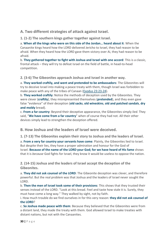#### <span id="page-30-0"></span>**A. Two different strategies of attack against Israel.**

**1. (1-2) The southern kings gather together against Israel.**

a. **When all the kings who were on this side of the Jordan… heard about it**: When the Canaanite kings heard how the LORD delivered Jericho to Israel, they had reason to be afraid. When they heard how the LORD gave them victory over Ai, they had reason to be afraid.

b. **They gathered together to fight with Joshua and Israel with one accord**: This is a classic, frontal attack – they will try to defeat Israel on the field of battle, in head-to-head competition.

**2. (3-6) The Gibeonites approach Joshua and Israel in another way.**

a. **They worked craftily, and went and pretended to be ambassadors**: The Gibeonites will try to deceive Israel into making a peace treaty with them, though Israel was forbidden to make peace with any of the tribes of Canaan (Exodus [23:23-24\)](https://www.blueletterbible.org/search/preSearch.cfm?Criteria=Exodus+23.23-24&t=NKJV).

b. **They worked craftily**: Notice the methods of deception used by the Gibeonites. They were clever (**craftily**), they misrepresented themselves (**pretended**), and they even gave false "evidence" of their deception (**old sacks**, **old wineskins**, **old and patched sandals**, **dry and moldy** bread).

c. **From a far country**: Beyond their deceptive appearance, the Gibeonites simply *lied*. They said, "**We have come from a far country**" when of course they had not. All their other devices simply lead to strengthen the deception offered.

<span id="page-30-1"></span>**B. How Joshua and the leaders of Israel were deceived.**

**1. (7-13) The Gibeonites explain their story to Joshua and the leaders of Israel.**

a. **From a very far country your servants have come**: Plainly, the Gibeonites lied to Israel. But despite their lies, they have a proper admiration and honour for the God of Israel. **Because of the name of the LORD your God; for we have heard of His fame** shows that it is *because* God fights for Israel, they know it would be useless to oppose the nation.

**2. (14-15) Joshua and the leaders of Israel accept the deception of the Gibeonites.**

a. **They did not ask counsel of the LORD**: The Gibeonite deception was clever, and therefore powerful. But the real problem was that Joshua and the leaders of Israel never sought the LORD.

b. **Then the men of Israel took some of their provisions**: This shows that they trusted their senses instead of the LORD. "Look at this bread. Feel and taste how stale it is. Surely, they must have come a long way." They walked by sight, not by faith.

i. How much trouble do we find ourselves in for this very reason: **they did not ask counsel of the LORD**?

c. **So Joshua made peace with them**: Because they believed that the Gibeonites were from a distant land, they made the treaty with them. God allowed Israel to make treaties with distant nations, but not with the Canaanites.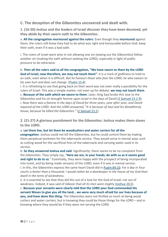#### <span id="page-31-0"></span>**C. The deception of the Gibeonites uncovered and dealt with.**

**1. (16-20) Joshua and the leaders of Israel discover they have been deceived, yet they abide by their sworn oath to the Gibeonites.**

a. **All the congregation murmured against the rulers**: Even though they **murmured** against them, the rulers still knew they had to do what was right and honourable before God: keep their oath, even if it was a bad oath.

i. The rulers of Israel were wise in not allowing one sin (wiping out the Gibeonites) follow another sin (making the oath without seeking the LORD), especially in light of public pressure to do otherwise.

b. **Then all the rulers said to all the congregation, "We have sworn to them by the LORD God of Israel; now therefore, we may not touch them"**: It is a mark of godliness to hold to an oath, even when it is difficult. *But he honours those who fear the LORD; he who swears to his own hurt and does not change*. [\(Psalm](https://www.blueletterbible.org/search/preSearch.cfm?Criteria=Psalm+15.4&t=NKJV) 15:4)

i. It is refreshing to see that going back on their word was not even really a possibility for the rulers of Israel. This was a simple matter, not even up for debate: **we may not touch them**. c. **Because of the oath which we swore to them**: Later, King Saul broke this vow to the Gibeonites and his sin brought famine upon Israel in the days of David (2 [Samuel](https://www.blueletterbible.org/search/preSearch.cfm?Criteria=2Samuel+21.1-9&t=NKJV) 21:1-9). i. *Now there was a famine in the days of David for three years, year after year; and David inquired of the LORD. And the LORD answered, "It is because of Saul and his bloodthirsty house, because he killed the Gibeonites."* (2 [Samuel](https://www.blueletterbible.org/search/preSearch.cfm?Criteria=2Samuel+21.1&t=NKJV) 21:1)

**2. (21-27) A glorious punishment for the Gibeonites: Joshua makes them slaves to the LORD.**

a. **Let them live, but let them be woodcutters and water carriers for all the**

**congregation**: Joshua could not kill the Gibeonites, but he could control them by making them perpetual workmen for the tabernacle service. They would serve in menial ways such as cutting wood for the sacrificial fires of the tabernacle and carrying water used in its service.

b. **So they answered Joshua and said**: Significantly, there seems to be no complaint from the Gibeonites. They simply say, "**Here we are, in your hands; do with us as it seems good and right to do to us**." Essentially, they were happy with the prospect of being incorporated into Israel, and by being made servants of the LORD, even if it was in menial service. i. In this, the Gibeonites express the same heart David did in Psalm [84:10:](https://www.blueletterbible.org/search/preSearch.cfm?Criteria=Psalm+84.10&t=NKJV) *For a day in Your* courts is better than a thousand. I would rather be a doorkeeper in the house of my God than *dwell in the tents of wickedness.*

ii. It is essential to see that they did this out of a love for the God of Israel, not out of weakness. Indeed, it was said of Gibeon that *all its men were mighty* [\(Joshua](https://www.blueletterbible.org/search/preSearch.cfm?Criteria=Joshua+10.2&t=NKJV) 10:2).

c. **Because your servants were clearly told that the LORD your God commanded His servant Moses to give you all the land… we were very much afraid for our lives because of you, and have done this thing**: The Gibeonites were not thrilled so much at being wood cutters and water carriers, but in knowing they could be those things for the LORD – and in knowing where they would be if they were *not* serving the LORD.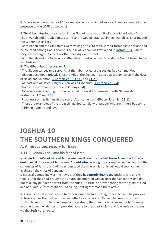ii. Do we have the same heart? Can we rejoice in any kind of service, if we see we are in the presence of the LORD as we do it?

ii. The Gibeonites found salvation in the God of Israel much like Rahab did in [Joshua](https://www.blueletterbible.org/search/preSearch.cfm?Criteria=Joshua+2&t=NKJV) 2. · Both Rahab and the Gibeonites came to the God of Israel as sinners, Rahab as a harlot, and the Gibeonites as liars.

· Both Rahab and the Gibeonites were willing at risk to forsake their former associations and be counted among God's people. The risk of Gibeon was explained in [Joshua](https://www.blueletterbible.org/search/preSearch.cfm?Criteria=Joshua+10.4&t=NKJV) 10:4, where they were a target of attack for their dealings with Israel.

· Both Rahab and the Gibeonites, after they found salvation through the God of Israel, had a rich history.

iii. The Gibeonites after [Joshua](https://www.blueletterbible.org/search/preSearch.cfm?Criteria=Joshua+9&t=NKJV) 9.

· The Gibeonites became servants at the tabernacle, just as Joshua had commanded.

· Gibeon becomes a priestly city; the Ark of the Covenant stayed at Gibeon often in the days of David and Solomon (1 [Chronicles](https://www.blueletterbible.org/search/preSearch.cfm?Criteria=1Chronicles+16.39-40&t=NKJV) 16:39-40 and [21:29\)](https://www.blueletterbible.org/search/preSearch.cfm?Criteria=1Chronicles+21.29&t=NKJV).

· At least one of David's *mighty men* was a Gibeonite (1 [Chronicles](https://www.blueletterbible.org/search/preSearch.cfm?Criteria=1Chronicles+12.4&t=NKJV) 12:4).

· God spoke to Solomon at Gibeon (1 [Kings](https://www.blueletterbible.org/search/preSearch.cfm?Criteria=1Kings+3.4&t=NKJV) 3:4).

· Gibeonites were among those who rebuilt the walls of Jerusalem with Nehemiah [\(Nehemiah](https://www.blueletterbible.org/search/preSearch.cfm?Criteria=Nehemiah+3.7&t=NKJV) 3:7 and [7:25\)](https://www.blueletterbible.org/search/preSearch.cfm?Criteria=Nehemiah+7.25&t=NKJV).

· Prophets such as Hananiah the son of Azur came from Gibeon [\(Jeremiah](https://www.blueletterbible.org/search/preSearch.cfm?Criteria=Jeremiah+28.1&t=NKJV) 28:1).

· These are examples of the great things God can do with people who are sinners but come to Him in humility and love.

### <span id="page-32-1"></span><span id="page-32-0"></span>**JOSHUA 10 THE SOUTHERN KINGS CONQUERED**

<span id="page-32-2"></span>**A. A miraculous victory for Israel.**

**1. (1-5) Adoni-Zedek and his fear of Israel.**

a. **When Adoni-Zedek king of Jerusalem heard how Joshua had taken Ai and had utterly destroyed it**: The king of Jerusalem (**Adoni-Zedek**) was rightly alarmed when he heard of the conquests of Jericho and Ai. He understood that the armies of Israel would soon come against all the cities of Canaan.

i. Especially troubling was the news that they **had utterly destroyed** both Jericho and Ai – that is, that they had brought the unique judgment of God against the Canaanites and did not take any plunder or profit from the cities. An Israelite army fighting for the glory of God and as a unique instrument of God's judgment rightly made them afraid.

ii. Adoni-Zedek also had reason to be concerned from a strategic perspective. The previous victories across the middle of Canaan effectively separated Canaan between north and south. "Israel controlled the Benjaminite plateau, the crossroads between the hill country and the Judean wilderness. It provided access to the coastal plain and lowlands to the west via the Beth Horon pass."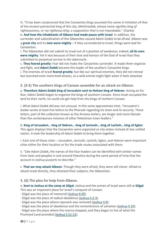iii. "It has been conjectured that the Canaanites kings assumed this name in imitation of that of the ancient patriarchal king of this city, Melchizedek, whose name signifies *king of righteousness*, or *my righteous king*: a supposition that is not improbable." (Clarke)

b. **And how the inhabitants of Gibeon had made peace with Israel**: In addition, the surrender and subordination of the Gibeonites caused Adoni-Zedek to be afraid. Gibeon was a **great city** and its **men were mighty** – if *they* surrendered to Israel, things were bad for Canaanites.

i. The Gibeonites did not submit to Israel out of a position of weakness; indeed, **all its men were mighty**. Yet it was because of their love and honour of the God of Israel that they submitted to perpetual service in His tabernacle.

c. **They feared greatly**: Fear did not make the Canaanites surrender. It made them organize and fight, and **Adoni-Zedek** became the leader of the southern Canaanite kings. i. The enemies of Israel **feared greatly**; but like our spiritual enemies, they did not retreat but launched even more bold attacks, as a wild animal might fight when it feels attacked.

**2. (3-5) The southern kings of Canaan assemble for an attack on Gibeon.**

a. **Therefore Adoni-Zedek king of Jerusalem sent to Hoham king of Hebron**: Acting on his fear, Adoni-Zedek began to organize the kings of southern Canaan. Since Israel occupied the land to their north, he could not get help from the kings of northern Canaan.

i. What Adoni-Zedek did was not unusual. In this same approximate time, "Jerusalem's leader wrote at least five letters to the Pharoah regarding his town and its security. These letters, part of the collection known as the Armana letters, are longer and more literate than the contemporary missives of other Palestinian town leaders."

b. **King of Jerusalem… king of Hebron… king of Jarmuth… king of Lachish… king of Eglon**: This again displays that the Canaanites were organized as city-states instead of one unified nation. It took the leadership of Adoni-Zedek to bring them together.

i. Each one of these cities – Jerusalem, Jarmuth, Lachish, Eglon, and Hebron were important cities either for their location or for the trade routes associated with them.

ii. "Like Adoni-Zedek, the names of the four leaders can be identified with similar names from texts and peoples in and around Palestine during the same period of time that the account in Joshua purports to describe."

c. **That we may attack Gibeon**: Though they were afraid, they were still clever. Afraid to attack Israel directly, they attacked their subjects, the Gibeonites.

#### **3. (6) The plea for help from Gibeon.**

a. **Sent to Joshua at the camp at Gilgal**: Joshua and the armies of Israel were still at **Gilgal**. This was an important place for Israel's conquest of Canaan.

· Gilgal was the place of memorial [\(Joshua](https://www.blueletterbible.org/search/preSearch.cfm?Criteria=Joshua+4.20&t=NKJV) 4:20).

- · Gilgal was the place of radical obedience [\(Joshua](https://www.blueletterbible.org/search/preSearch.cfm?Criteria=Joshua+5.2-3&t=NKJV) 5:2-3).
- · Gilgal was the place where reproach was removed [\(Joshua](https://www.blueletterbible.org/search/preSearch.cfm?Criteria=Joshua+5.9&t=NKJV) 5:9).
- · Gilgal was the place of obedience and the remembrance of salvation [\(Joshua](https://www.blueletterbible.org/search/preSearch.cfm?Criteria=Joshua+5.10&t=NKJV) 5:10).

· Gilgal was the place where the manna stopped, and they began to live of what the Promised Land provided (Joshua [5:11-12\)](https://www.blueletterbible.org/search/preSearch.cfm?Criteria=Joshua+5.11-12&t=NKJV).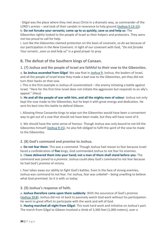· Gilgal was the place where they met Jesus Christ in a dramatic way, as commander of the LORD's armies – and took of their sandals in reverence to holy ground (Joshua [5:13-15\)](https://www.blueletterbible.org/search/preSearch.cfm?Criteria=Joshua+5.13-15&t=NKJV).

b. **Do not forsake your servants; come up to us quickly, save us and help us**: The

Gibeonites rightly looked to the people of Israel as their helpers and protectors. They were not too proud to call for help.

i. Just like the Gibeonites claimed protection on the basis of covenant, so do we because of our participation in the New Covenant. In light of our covenant with God, "*Do not forsake Your servant…save us and help us*" is a good prayer to pray.

#### <span id="page-34-0"></span>**B. The defeat of the Southern kings of Canaan.**

#### **1. (7) Joshua and the people of Israel are faithful to their vow to the Gibeonites.**

a. **So Joshua ascended from Gilgal**: We saw that in [Joshua](https://www.blueletterbible.org/search/preSearch.cfm?Criteria=Joshua+9&t=NKJV) 9, Joshua, the leaders of Israel, and all the people of Israel knew they made a bad vow to the Gibeonites, yet they did not turn their backs on that vow.

i. This is the first example in Joshua of *counterattack* – the enemy initiating a battle against Israel. "Here for the first time Israel does not initiate the aggression but responds to an ally's appeal." (Hess)

b. **He and all the people of war with him, and all the mighty men of valour**: Joshua not only kept the vow made to the Gibeonites, but he kept it with great energy and dedication. He sent his best into this battle to defend Gibeon.

i. Allowing these Canaanite kings to wipe out the Gibeonites would have been a convenient way to get out of a vow that should not have been made, but they will have none of it.

ii. We should have the same sense of honour. Though Joshua was only bound to not kill the Gibeonites himself [\(Joshua](https://www.blueletterbible.org/search/preSearch.cfm?Criteria=Joshua+9.15&t=NKJV) 9:15), he also felt obliged to fulfil the *spirit* of the vow he made to the Gibeonites.

**2. (8) God's command and promise to Joshua.**

a. **Do not fear them**: This was a *command*. Though Joshua had reason to fear because Israel faced a confederation of **five** kings, God commanded Joshua to not fear his enemies. b. **I have delivered them into your hand; not a man of them shall stand before you**: The command was joined to a *promise*. Joshua could obey God's *command* to not fear because he had God's *promise* of victory.

i. Fear takes away our ability to fight God's battles. Even in the face of strong enemies, Joshua was command to not fear. For Joshua, fear was unbelief – being unwilling to believe what God promised. So it is with us today.

#### **3. (9) Joshua's response of faith.**

a. **Joshua therefore came upon them suddenly**: With the assurance of God's promise [\(Joshua](https://www.blueletterbible.org/search/preSearch.cfm?Criteria=Joshua+10.8&t=NKJV) 10:8), Joshua did not sit back to passively watch God work without his participation. He went to great effort to participate with the work and will of God.

b. **Having marched all night from Gilgal**: This took hard work and initiative on Joshua's part. The march from Gilgal to Gibeon involved a climb of 3,300 feet (1,000 meters), over a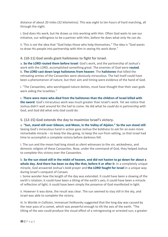distance of about 20 miles (32 kilometres). This was eight to ten hours of hard marching, all through the night.

i. God does His work, but He draws us into working with Him. Often God waits to see our initiative, our willingness to be a partner with Him, before He does what only He can do.

ii. This is *not* the idea that "God helps those who help themselves." The idea is "God wants to draw His people into partnership with Him in seeing His work done."

#### **4. (10-11) God sends giant hailstones to fight for Israel.**

a. **So the LORD routed them before Israel**: God's work, and the partnership of Joshua's work with the LORD, accomplished something great. The enemies of God were **routed**. b. **The LORD cast down large hailstones from heaven**: The **hailstones** that killed the retreating armies of the Canaanites were obviously miraculous. The hail itself could have been a phenomenon of nature, but their aim and timing were evidence of the hand of God.

i. "The Canaanites, who worshipped nature deities, must have thought that their own gods were aiding the Israelites."

c. **There were more who died from the hailstones than the children of Israel killed with the sword**: God's miraculous work was much greater than Israel's work. Yet we notice that Joshua didn't wait around for the hail to come. He did what he *could* do in partnership with God, and God did what only *God* could do.

#### **5. (12-15) God extends the day to maximize Israel's victory.**

a. **"Sun, stand still over Gibeon; and Moon, in the Valley of Aijalon." So the sun stood still**: Seeing God's miraculous hand in action gave Joshua the boldness to ask for an even more remarkable miracle – to keep the day going, to keep the sun from setting, so that Israel had time to accomplish a complete victory before darkness fell.

i. The sun and the moon had long stood as silent witnesses to the sin, wickedness, and demonic religion of these Canaanites. Now, under the command of God, they helped Joshua to complete this victory over the Canaanites.

b. So the sun stood still in the midst of heaven, and did not hasten to go down for about a **whole day. And there has been no day like that, before it or after it**: In a completely unique miracle, God answered Joshua's bold prayer and **the LORD fought for Israel** in a unique way during Israel's conquest of Canaan.

i. Some wonder *how* the length of the day was extended. It could have been a slowing of the earth's rotation; it could have been a tilting of the earth's axis; it could have been a miracle of reflection of light; it could have been simply the presence of God manifested in light.

ii. However it was done, the result was clear. The sun seemed to stay still in the sky, and Israel was able to complete the victory.

iii. In *Worlds in Collision*, Immanuel Velikovsky suggested that the long day was caused by the near pass of a comet, which was powerful enough to tilt the axis of the earth. "The tilting of the axis could produce the visual effect of a retrogressing or arrested sun; a greater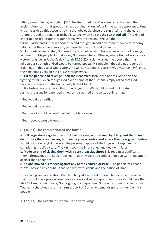tilting, a multiple day or night." [385] He also noted that there are records among the ancient Americans that speak of an extraordinarily long *night* in the same approximate time. iv. Some criticize this account, saying that obviously, since the sun *is* still, and the earth rotates around the sun, that Joshua is wrong when he says **the sun stood still**. This kind of criticism doesn't account for our normal way of speaking. We use the

terms *sunrise* and *sunset* without a second thought. In addition, more modern astronomy tells us that the sun *is* in motion; perhaps the sun did literally stand still.

V. Hundreds of years later, God used the prophet Isaiah to bring a heavy word of coming judgment to His people. In that word, God remembered Gibeon, where He had won a great victory for Israel in Joshua's day (Isaiah [28:20-22\)](https://www.blueletterbible.org/search/preSearch.cfm?Criteria=Isaiah+28.20-22&t=NKJV). Isaiah warned the people that this miraculous strength of God would be turned *against* His people if they did not repent. As Isaiah put it, this use of God's strength against His people is surely *His awesome work*, or as the King James Version puts it, *His strange work*.

C. **Till the people had revenge upon their enemies**: Joshua did not ask God to do the fighting for him, even though God did do some of that. Joshua simply asked that God miraculously give him the *opportunity* to fight for Him.

I. Like Joshua, we often wish that time stayed still. We would do well to imitate Joshua's *reasons* for extended time. Joshua wanted time to stay still so that:

- · God would be glorified.
- · God would be obeyed.
- · God's work would be continued without hindrance.
- · God's people would triumph.

#### **6. (16-21) The completion of the battle.**

a. **Roll large stones against the mouth of the cave, and set men by it to guard them. And do not stay there yourselves, but pursue your enemies, and attack their rear guard**: Joshua would not allow anything – even the personal capture of the kings – to keep him from completing Israel's victory. The kings could be imprisoned and dealt with later.

b. **Made an end of slaying them with a very great slaughter**: This repeats a significant theme throughout the Book of Joshua; that they were to conduct a unique war of judgment against the Canaanites.

c. **No one moved his tongue against any of the children of Israel**: The people of Canaan knew – beyond any doubt – that God was with Joshua and the nation of Israel.

i. By analogy and application, the church – just like Israel – should be feared in the sense that it should be a place where people know God will conquer them. They should have the idea "If I keep coming here, God is going to conquer me. I'll have to submit my life to Him." Too many churches present a harmless sort of God who demands no surrender from His people.

**7. (22-27) The execution of the Canaanite kings.**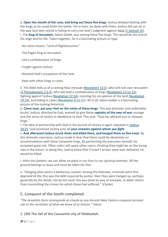a. **Open the mouth of the cave, and bring out those five kings**: Joshua *delayed* dealing with the kings so he could finish the battle. Yet in time, he dealt with them. Joshua did not sin in the way Saul later would in failing to carry out God's judgment against Agag (1 [Samuel](https://www.blueletterbible.org/search/preSearch.cfm?Criteria=1Samuel+15&t=NKJV) 15). I. The **king of Jerusalem**, Adoni-Zedek, was among these five kings. This would be the end of his reign and his life. Taken together, he is a fascinating picture or type.

· His name means, "Lord of Righteousness."

- · The Pagan King of Jerusalem.
- · Led a confederation of Kings.
- · Fought against Joshua.
- · Resisted God's occupation of the land.
- · Kept with other kings in caves.

ii. The Bible tells us of a coming false messiah [\(Revelation](https://www.blueletterbible.org/search/preSearch.cfm?Criteria=Revelation+13.3&t=NKJV) 13:3), who will rule over Jerusalem (2 [Thessalonians](https://www.blueletterbible.org/search/preSearch.cfm?Criteria=2Thessalonians+2.3-4&t=NKJV) 2:3-4), who will lead a confederation of kings [\(Revelation](https://www.blueletterbible.org/search/preSearch.cfm?Criteria=Revelation+17.12-13&t=NKJV) 17:12-13), fighting against Yeshua [\(Revelation](https://www.blueletterbible.org/search/preSearch.cfm?Criteria=Revelation+17.14&t=NKJV) 17:14), resisting His occupation of the land [\(Revelation](https://www.blueletterbible.org/search/preSearch.cfm?Criteria=Revelation+19.19&t=NKJV) [19:19\)](https://www.blueletterbible.org/search/preSearch.cfm?Criteria=Revelation+19.19&t=NKJV), and hiding in caves [\(Revelation](https://www.blueletterbible.org/search/preSearch.cfm?Criteria=Revelation+6.15-17&t=NKJV) 6:15-17). All in all, Adoni-Zedek is a fascinating picture of the coming Antichrist.

b. **Come near, put your feet on the necks of these kings**: This was dramatic and undeniably brutal. Joshua, directed by God, wanted to give these **captains of the men of war** courage and the sense of victory in obedience to God. This said, "God has allowed you to conquer kings."

I. The idea of partnership with God in the pursuit of victory is again repeated in [Joshua](https://www.blueletterbible.org/search/preSearch.cfm?Criteria=Joshua+10.25&t=NKJV) [10:25.](https://www.blueletterbible.org/search/preSearch.cfm?Criteria=Joshua+10.25&t=NKJV) God promised victory over all **your enemies** *against whom you fight*.

c. **And afterward Joshua struck them and killed them, and hanged them on five trees**: By this dramatic execution, Joshua made it clear that there could be absolutely no accommodation with these Canaanite kings. By performing the execution himself, he accepted great risk. Often rulers will spare other rulers, thinking they might be on the losing side in the future. In doing this, Joshua knew that if Israel's armies were ever defeated, he would be killed.

I. After this pattern, we can allow no place in our lives to our spiritual enemies. All the ground belongs to Jesus and must be taken for Him.

ii. "Hanging *alive* seems a barbarous custom: among the Hebrews, criminals were first deprived of life; this was the debt required by *justice*: then they were hanged up, perhaps generally by the *hands*, not by the *neck*; this was done by way of *example*, to deter others from committing the crimes for which those had suffered." (Clarke)

#### <span id="page-37-0"></span>**C. Conquest of the South completed.**

*"The annalistic form corresponds as closely as any Ancient Near Eastern conquest account can to the recitation of what we know of as history." (Hess)*

**1. (28) The fall of the Canaanite city of Makkedah.**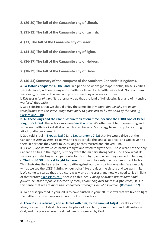**2. (29-30) The fall of the Canaanite city of Libnah.**

**3. (31-32) The fall of the Canaanite city of Lachish.**

**4. (33) The fall of the Canaanite city of Gezer.**

**5. (34-35) The fall of the Canaanite city of Eglon.**

**6. (36-37) The fall of the Canaanite city of Hebron.**

**7. (38-39) The fall of the Canaanite city of Debir.**

**8. (40-43) Summary of the conquest of the Southern Canaanite Kingdoms.**

a. **So Joshua conquered all the land**: In a period of weeks (perhaps months) these six cities were defeated, without a single lost battle for Israel. Each battle was a test. None of them were easy, but under the leadership of Joshua, they all were victorious.

i. *This was a lot of war*. "It is eternally true that the land of full blessing is a land of intensive warfare." (Redpath)

i. God's desire is that we should enjoy the same life of victory. *But we all… are being transformed into the same image from glory to glory, just as by the Spirit of the Lord.* [\(2](https://www.blueletterbible.org/search/preSearch.cfm?Criteria=2Corinthians+3.18&t=NKJV) [Corinthians](https://www.blueletterbible.org/search/preSearch.cfm?Criteria=2Corinthians+3.18&t=NKJV) 3:18)

b. **All these kings and their land Joshua took at one time, because the LORD God of Israel fought for Israel**: The victory was won **one at a time**. We often want to do everything and win every battle for God all at once. This can be Satan's strategy to set us up for a strong attack of discouragement.

i. God told Israel in [Exodus](https://www.blueletterbible.org/search/preSearch.cfm?Criteria=Exodus+23.30&t=NKJV) 23:30 (and [Deuteronomy](https://www.blueletterbible.org/search/preSearch.cfm?Criteria=Deuteronomy+7.22&t=NKJV) 7:22) that He would drive out the Canaanites *little by little*. Israel wasn't ready to take the land all at once, and God gave it to them in portions they *could* take, as long as they trusted and obeyed Him.

ii. As well, God knew *which* battles to fight and *when* to fight them. These were not the only Canaanite cities in the region, but they were the military strongholds. God knew what He was doing in selecting which particular battles to fight, and when they needed to be fought.

c. **The Lord GOD of Israel fought for Israel**: This was obviously the most important factor. This illustrates the key factor in our battle against our own spiritual enemies. We can only win as we see the LORD fighting on our behalf. He provides the victory and we walk in it. i. We come to realize that the victory was won at the cross, and now we need to live in light of that victory. [Colossians](https://www.blueletterbible.org/search/preSearch.cfm?Criteria=Colossians+2.15&t=NKJV) 2:15 speaks to this idea: *Having disarmed principalities and powers, He made a public spectacle of them, triumphing over them in it* [the cross]. It is in this sense that we are *more than conquerors through Him who loved us.* [\(Romans](https://www.blueletterbible.org/search/preSearch.cfm?Criteria=Romans+8.37&t=NKJV) 8:37)

ii. To be disappointed in yourself is to have trusted in yourself. It shows that we tried to fight the battle in our own resources, not the LORD's victory.

d. **Then Joshua returned, and all Israel with him, to the camp at Gilgal**: Israel's victories always came from Gilgal. This was the place of total faith, commitment and fellowship with God, and the place where Israel had been conquered by God.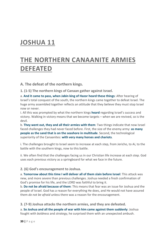### <span id="page-39-0"></span>**JOSHUA 11**

### <span id="page-39-1"></span>**THE NORTHERN CANAANITE ARMIES DEFEATED**

<span id="page-39-2"></span>**A. The defeat of the northern kings.**

**1. (1-5) The northern kings of Canaan gather against Israel.**

a. **And it came to pass, when Jabin king of Hazor heard these things**: After hearing of Israel's total conquest of the south, the northern kings came together to defeat Israel. The huge army assembled together reflects an attitude that they believe they must stop Israel now or never.

i. All this was prompted by what the northern kings **heard** regarding Israel's success and victory. Walking in victory means that we become targets – when we are revived, so is the devil.

b. **They went out, they and all their armies with them**: Two things indicate that now Israel faced challenges they had never faced before. First, the size of the enemy army: **as many people as the sand that is on the seashore in multitude**. Second, the technological superiority of the Canaanites: **with very many horses and chariots**.

i. The challenges brought to Israel seem to increase at each step, from Jericho, to Ai, to the battle with the southern kings, now to this battle.

ii. We often find that the challenges facing us in our Christian life increase at each step. God uses each previous victory as a springboard for what we face in the future.

#### **2. (6) God's encouragement to Joshua.**

a. **Tomorrow about this time I will deliver all of them slain before Israel**: This attack was new, and more severe than previous challenges. Joshua needed a fresh confirmation of God's promise for his life, and the LORD was faithful to bring it.

b. **Do not be afraid because of them**: This means that fear was an issue for Joshua and the people of Israel. God has a reason for everything He does, and He would not have assured them *do not be afraid* unless there was a reason for the encouragement.

**3. (7-9) Joshua attacks the northern armies, and they are defeated.**

a. **So Joshua and all the people of war with him came against them suddenly**: Joshua fought with *boldness* and *strategy*, he surprised them with an unexpected ambush.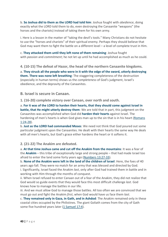b. **So Joshua did to them as the LORD had told him**: Joshua fought with *obedience*, doing exactly what the LORD told them to do, even destroying the Canaanite "weapons" (the horses and the chariots) instead of taking them for his own army.

i. Here is a lesson in the matter of "taking the devil's tools." Many Christians do not hesitate to use the "horses and chariots" of their spiritual enemy. Perhaps they should believe that God may want them to fight the battle on a different level – a level of complete trust in Him.

c. **They attacked them until they left none of them remaining**: Joshua fought with *passion* and *commitment*; he not let up until he had accomplished as much as he could.

**4. (10-15) The defeat of Hazor, the head of the northern Canaanite kingdoms.**

a. **They struck all the people who were in it with the edge of the sword, utterly destroying them. There was none left breathing**: The staggering completeness of the destruction (especially in human terms) shows us the *completeness* of God's judgment, Israel's obedience, and the depravity of the Canaanites.

<span id="page-40-0"></span>**B. Israel is secure in Canaan.**

**1. (16-20) complete victory over Canaan, over north and south.**

a. **For it was of the LORD to harden their hearts, that they should come against Israel in battle, that He might utterly destroy them**: We are told that in part, this judgment on the Canaanites was accomplished when God did **harden their hearts** against Israel. The hardening of men's hearts is when God gives man up to the sin that is in his heart [\(Romans](https://www.blueletterbible.org/search/preSearch.cfm?Criteria=Romans+1.24-28&t=NKJV) [1:24-28\)](https://www.blueletterbible.org/search/preSearch.cfm?Criteria=Romans+1.24-28&t=NKJV).

b. **Just as the LORD had commanded Moses**: We need not think that God poured out some particular judgment upon the Canaanites. He dealt with their hearts the same way He deals with all men's hearts, but God's grace either hardens the heart or it softens it.

#### **2. (21-22) The Anakim are defeated.**

a. **At that time Joshua came and cut off the Anakim from the mountains**: It was a fear of the **Anakim** – this tribe of exceptionally large and strong people – that had made Israel too afraid to enter the land some forty years ago [\(Numbers](https://www.blueletterbible.org/search/preSearch.cfm?Criteria=Numbers+13.27-33&t=NKJV) 13:27-33).

b. **None of the Anakim were left in the land of the children of Israel**: Here, the foes of 40 years ago fall. They were no match for an army that was blessed and directed by God. i. Significantly, Israel faced the Anakim *last*, only after God had trained them in battle and in working with Him through the months of conquest.

ii. When Israel refused to enter Canaan out of a fear of the Anakim, they did not realize that God would so guide events that they would face this most difficult challenge *last*. God knows how to manage the battles in our life.

iii. And we must *allow* God to manage those battles. All too often we are convinced that we must go out and fight the Anakim *first*, when God would have us face them *last*.

c. **They remained only in Gaza, in Gath, and in Ashdod**: The Anakim remained only in these coastal cities occupied by the Philistines. The giant Goliath comes from the city of Gath some five hundred years later (1 [Samuel](https://www.blueletterbible.org/search/preSearch.cfm?Criteria=1Samuel+17.4&t=NKJV) 17:4).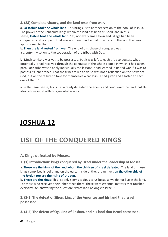**3. (23) Complete victory, and the land rests from war.**

a. **So Joshua took the whole land**: This brings us to another section of the book of Joshua. The power of the Canaanite kings within the land has been crushed, and in this sense, **Joshua took the whole land**. Yet, not every small town and village had been conquered and occupied. That was up to each individual tribe to do in the land that was apportioned to them.

b. **Then the land rested from war**: The end of this phase of conquest was a *greater* invitation to the cooperation of the tribes with God.

i. "Much territory was yet to be possessed, but it was left to each tribe to possess what potentially it had received through the conquest of the whole people in which it had taken part. Each tribe was to apply individually the lessons it had learned in united war if it was to possess its inheritance. That the tribes failed to do so was not a reflection on the power of God, but on the failure to take for themselves what Joshua had given and allotted to each one of them."

ii. In the same sense, Jesus has already defeated the enemy and conquered the land, but He also calls us into battle to gain what is ours.

### <span id="page-41-0"></span>**JOSHUA 12**

### <span id="page-41-1"></span>**LIST OF THE CONQUERED KINGS**

<span id="page-41-2"></span>**A. Kings defeated by Moses.**

**1. (1) Introduction: kings conquered by Israel under the leadership of Moses.**

a. **These are the kings of the land whom the children of Israel defeated**: The land of these kings comprised Israel's land on the eastern side of the Jordan river, **on the other side of the Jordan toward the rising of the sun**.

b. **These are the kings**: This list only seems tedious to us because we do not live in the land. For those who received their inheritance there, these were essential matters that touched everyday life, answering the question: "What land belongs to Israel?"

**2. (2-3) The defeat of Sihon, king of the Amorites and his land that Israel possessed.**

**3. (4-5) The defeat of Og, kind of Bashan, and his land that Israel possessed.**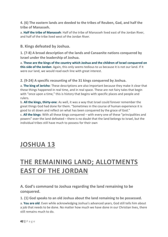**4. (6) The eastern lands are deeded to the tribes of Reuben, Gad, and half the tribe of Manasseh.**

a. **Half the tribe of Manasseh**: Half of the tribe of Manasseh lived east of the Jordan River, and half of the tribe lived west of the Jordan River.

<span id="page-42-0"></span>**B. Kings defeated by Joshua.**

**1. (7-8) A broad description of the lands and Canaanite nations conquered by Israel under the leadership of Joshua.**

a. **These are the kings of the country which Joshua and the children of Israel conquered on this side of the Jordan**: Again, this only seems tedious to us because it is not our land. If it were our land, we would read each line with great interest.

**2. (9-24) A specific recounting of the 31 kings conquered by Joshua.**

a. **The king of Jericho**: These descriptions are also important because they make it clear that these things happened in real time, and in real space. These are not fairy tales that begin with "once upon a time," this is history that begins with specific places and people and rulers.

b. **All the kings, thirty-one**: As well, it was a way that Israel could forever remember the great things God had done for them. "Sometimes in the course of human experience it is good to sit down and reflect on what has been conquered by the grace of God."

c. **All the kings**: With all these kings conquered – with every one of these "principalities and powers" over the land defeated – there is no doubt that the land belongs to Israel, but the individual tribes still have much to possess for their own

### <span id="page-42-1"></span>**JOSHUA 13**

### <span id="page-42-2"></span>**THE REMAINING LAND; ALLOTMENTS EAST OF THE JORDAN**

<span id="page-42-3"></span>**A. God's command to Joshua regarding the land remaining to be conquered.**

**1. (1) God speaks to an old Joshua about the land remaining to be possessed.**

a. **You are old**: Even while acknowledging Joshua's advanced years, God still tells him about a job that needs to be done. No matter how much we have done in our Christian lives, there still remains much to do.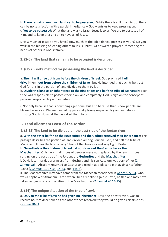b. **There remains very much land yet to be possessed**: While there is still much to do, there can be no satisfaction with a partial inheritance – God wants us to keep pressing on. c. **Yet to be possessed**: What the land was to Israel, Jesus is to us. We are to possess all of Him, and to keep pressing on to have all of Jesus.

i. How much of Jesus do you have? How much of the Bible do you possess as yours? Do you walk in the blessing of leading others to Jesus Christ? Of answered prayer? Of meeting the needs of others in God's family?

**2. (2-6a) The land that remains to be occupied is described.**

**3. (6b-7) God's method for possessing the land is described.**

a. **Them I will drive out from before the children of Israel**: God promised **I will drive** [them] **out from before the children of Israel**, but He intended that each tribe trust God for this in the portion of land divided to them by lot.

b. **Divide this land as an inheritance to the nine tribes and half the tribe of Manasseh**: Each tribe was responsible to possess their own land completely. God is high on the concept of personal responsibility and initiative.

i. Not only because that is how things get done, but also because that is how people are blessed in service. We are blessed by personally taking responsibility and initiative in trusting God to do what He has called them to do.

<span id="page-43-0"></span>**B. Land allotments east of the Jordan.**

**1. (8-13) The land to be divided on the east side of the Jordan river.**

a. **With the other half tribe the Reubenites and the Gadites received their inheritance**: This passage describes the portion of land divided among Reuben, Gad, and half the tribe of Manasseh. It was the land of king Sihon of the Amorites and king Og of Bashan.

b. **Nevertheless the children of Israel did not drive out the Geshurites or the Maachathites**: Only two small tribes of peoples were not replaced by the Jewish tribes settling on the east side of the Jordan: the **Geshurites** and the **Maachathites**.

i. David later married a princess from Geshur, and his son Absalom was born of her [\(2](https://www.blueletterbible.org/search/preSearch.cfm?Criteria=2Samuel+3.3&t=NKJV) [Samuel](https://www.blueletterbible.org/search/preSearch.cfm?Criteria=2Samuel+3.3&t=NKJV) 3:3). Absalom returned to Geshur and used it as a place to plot against his father David (2 Samuel [13:37-38,](https://www.blueletterbible.org/search/preSearch.cfm?Criteria=2Samuel+13.37-38&t=NKJV) [14:23,](https://www.blueletterbible.org/search/preSearch.cfm?Criteria=2Samuel+14.23&t=NKJV) and [14:32\)](https://www.blueletterbible.org/search/preSearch.cfm?Criteria=2Samuel+14.32&t=NKJV).

ii. The Maachathites may have come from the Maachah mentioned in [Genesis](https://www.blueletterbible.org/search/preSearch.cfm?Criteria=Genesis+22.24&t=NKJV) 22:24, who was a nephew of Abraham. Later, when Sheba rebelled against David, he fled and may have taken refuge in one of the cities of the Maachathites (2 Samuel [20:14-15\)](https://www.blueletterbible.org/search/preSearch.cfm?Criteria=2Samuel+20.14-15&t=NKJV).

**2. (14) The unique situation of the tribe of Levi.**

a. **Only to the tribe of Levi he had given no inheritance**: Levi, the priestly tribe, was to receive no "province" such as the other tribes received; they would be given certain cities [\(Joshua](https://www.blueletterbible.org/search/preSearch.cfm?Criteria=Joshua+20-21&t=NKJV) 20-21).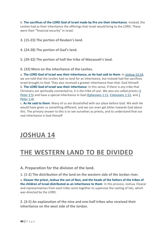b. **The sacrifices of the LORD God of Israel made by fire are their inheritance**: Instead, the Levites had as their inheritance the offerings that Israel would bring to the LORD. These were their "financial security" in Israel.

**3. (15-23) The portion of Reuben's land.**

**4. (24-28) The portion of Gad's land.**

**5. (29-32) The portion of half the tribe of Manasseh's land.**

**6. (33) More on the inheritance of the Levites.**

a. **The LORD God of Israel was their inheritance, as He had said to them**: In [Joshua](https://www.blueletterbible.org/search/preSearch.cfm?Criteria=Joshua+13.14&t=NKJV) 13:14, we are told that the Levites had no land for an inheritance, but instead had the sacrifices Israel brought to God. They also received a greater inheritance than that: God Himself. b. **The LORD God of Israel was their inheritance**: In this sense, if there is any tribe that Christians are spiritually connected to, it is the tribe of Levi. We also are called priests [\(1](https://www.blueletterbible.org/search/preSearch.cfm?Criteria=1Peter+2.5&t=NKJV) [Peter](https://www.blueletterbible.org/search/preSearch.cfm?Criteria=1Peter+2.5&t=NKJV) 2:5) and have a special inheritance in God [\(Ephesians](https://www.blueletterbible.org/search/preSearch.cfm?Criteria=Ephesians+1.11&t=NKJV) 1:11, [Colossians](https://www.blueletterbible.org/search/preSearch.cfm?Criteria=Colossians+1.12&t=NKJV) 1:12, and [1](https://www.blueletterbible.org/search/preSearch.cfm?Criteria=1Peter+1.4&t=NKJV) [Peter](https://www.blueletterbible.org/search/preSearch.cfm?Criteria=1Peter+1.4&t=NKJV) 1:4).

c. **As He said to them**: Many of us are dissatisfied with our place before God. We wish He would have given us something different, and we can even get bitter towards God about this. The primary answer to this is to see ourselves as priests, and to understand that our real inheritance is God Himself

### <span id="page-44-0"></span>**JOSHUA 14**

### <span id="page-44-1"></span>**THE WESTERN LAND TO BE DIVIDED**

<span id="page-44-2"></span>**A. Preparation for the division of the land.**

**1. (1-2) The distribution of the land on the western side of the Jordan river.**

a. **Eleazar the priest, Joshua the son of Nun, and the heads of the fathers of the tribes of the children of Israel distributed as an inheritance to them**: In this process, Joshua, Eleazar and representatives from each tribe came together to supervise the casting of lots, which was directed by the LORD.

**2. (3-5) An explanation of the nine and one-half tribes who received their inheritance on the west side of the Jordan.**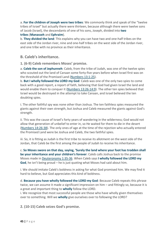a. **For the children of Joseph were two tribes**: We commonly think and speak of the "twelve tribes of Israel" but actually there were thirteen, because although there were twelve sons of Jacob (Israel), the descendants of one of his sons, Joseph, divided into **two tribes** (**Manasseh** and **Ephraim**).

b. **They divided the land**: This explains why you can have two and one-half tribes on the east side of the Jordan river, nine and one-half tribes on the west side of the Jordan river, and one tribe with no province as their inheritance.

#### <span id="page-45-0"></span>**B. Caleb's inheritance.**

**1. (6-9) Caleb remembers Moses' promise.**

a. **Caleb the son of Jephunneh**: Caleb, from the tribe of Judah, was one of the twelve spies who scouted out the land of Canaan some forty-five years before when Israel first was on the threshold of the Promised Land [\(Numbers](https://www.blueletterbible.org/search/preSearch.cfm?Criteria=Numbers+13.1-25&t=NKJV) 13:1-25).

b. **But I wholly followed the LORD my God**: Caleb was one of the only two spies to come back with a good report, a report of faith, believing that God had given Israel the land and would enable them to conquer it (Numbers [13:26-14:9\)](https://www.blueletterbible.org/search/preSearch.cfm?Criteria=Numbers+13.26-14.9&t=NKJV). The other ten spies believed that Israel would be destroyed in the attempt to take Canaan, and Israel believed the ten doubting spies.

i. The other faithful spy was none other than Joshua. The ten faithless spies measured the giants against their own strength, but Joshua and Caleb measured the giants against God's strength.

ii. This was the cause of Israel's forty years of wandering in the wilderness; God would not allow that generation of unbelief to enter in, so He waited for them to die in the desert [\(Numbers](https://www.blueletterbible.org/search/preSearch.cfm?Criteria=Numbers+14.26-38&t=NKJV) 14:26-38). The only ones of age at the time of the rejection who actually entered the Promised Land were be Joshua and Caleb, the two faithful spies.

iii. So, it is fitting as Judah is the first tribe to receive its allotment on the west side of the Jordan, that Caleb be the first among the people of Judah to receive his inheritance.

c. **So Moses swore on that day, saying, 'Surely the land where your foot has trodden shall be your inheritance and your children's forever**: Caleb calls Joshua back to the promise Moses made in [Deuteronomy](https://www.blueletterbible.org/search/preSearch.cfm?Criteria=Deuteronomy+1.35-36&t=NKJV) 1:35-36. When Caleb says **I wholly followed the LORD my God**, he isn't being proud – he is just quoting what Moses had said about him.

i. We should imitate Caleb's boldness in asking for what God promised him. We may find it hard to believe, but God appreciates this kind of boldness.

d. **Because you have wholly followed the LORD my God**: Because Caleb repeats this phrase twice, we can assume it made a significant impression on him – and fittingly so, because it is a great and important thing to **wholly** follow the LORD.

i. We recognize that most successful people are those who have wholly given themselves over to something. Will we **wholly** give ourselves over to following the LORD?

**2. (10-15) Caleb seizes God's promise.**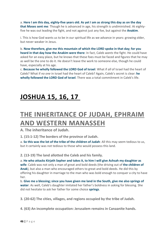a. Here I am this day, eighty-five years old. As yet I am as strong this day as on the day **that Moses sent me**: Though he is advanced in age, his strength is undiminished. At eightyfive he was out leading the fight, and not against just any foe, but against the **Anakim**.

i. This is how God wants us to be in our spiritual life as we advance in years: growing older, but never weaker in Jesus.

b. **Now therefore, give me this mountain of which the LORD spoke in that day; for you heard in that day how the Anakim were there**: In fact, Caleb *wants* the fight. He could have asked for an easy place, but he knows that these foes must be faced and figures that he may as well be the one to do it. He doesn't leave the work to someone else, though he could have, especially at his age.

c. **Because he wholly followed the LORD God of Israel**: What if *all* of Israel had the heart of Caleb? What if *no one* in Israel had the heart of Caleb? Again, Caleb's secret is clear: **he wholly followed the LORD God of Israel**. There was a total commitment in Caleb's life.

### <span id="page-46-0"></span>**[JOSHUA](https://www.blueletterbible.org/search/preSearch.cfm?Criteria=Joshua+15&t=NKJV) 15, [16,](https://www.blueletterbible.org/search/preSearch.cfm?Criteria=Joshua+15.16&t=NKJV) [17](https://www.blueletterbible.org/search/preSearch.cfm?Criteria=Joshua+15.17&t=NKJV)**

### <span id="page-46-1"></span>**THE INHERITANCE OF JUDAH, EPHRAIM AND WESTERN MANASSEH**

<span id="page-46-2"></span>**A. The inheritance of Judah.**

**1. (15:1-12) The borders of the province of Judah.**

a. **So this was the lot of the tribe of the children of Judah**: All this may seem tedious to us, but it certainly was not tedious to those who would possess this land.

**2. (13-19) The land allotted the Caleb and his family.**

a. **He who attacks Kirjath Sepher and takes it, to him I will give Achsah my daughter as wife**: Caleb was not only a man of great and bold deeds (the driving out of **the children of Anak**), but also a man who encouraged others to great and bold deeds. He did this by offering his daughter in marriage to the man who was bold enough to conquer a city to have her.

b. **Give me a blessing; since you have given me land in the South, give me also springs of water**: As well, Caleb's daughter imitated her father's boldness in asking for blessing. She did not hesitate to ask her father for some choice **springs**.

**3. (20-62) The cities, villages, and regions occupied by the tribe of Judah.**

**4. (63) An incomplete occupation: Jerusalem remains in Canaanite hands.**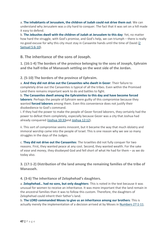a. **The inhabitants of Jerusalem, the children of Judah could not drive them out**: We can understand why Jerusalem was a city hard to conquer. The fact that it was set on a hill made it easy to defend.

b. **The Jebusites dwell with the children of Judah at Jerusalem to this day**: Yet, no matter how hard the struggle, with God's promise, and God's help, we can triumph – there is really no good excuse for why this city must stay in Canaanite hands until the time of David [\(2](https://www.blueletterbible.org/search/preSearch.cfm?Criteria=2Samuel+5.6-10&t=NKJV) [Samuel](https://www.blueletterbible.org/search/preSearch.cfm?Criteria=2Samuel+5.6-10&t=NKJV) 5:6-10).

<span id="page-47-0"></span>**B. The inheritance of the sons of Joseph.**

**1. (16:1-4) The borders of the province belonging to the sons of Joseph, Ephraim and the half-tribe of Manasseh settling on the west side of the Jordan.**

**2. (5-10) The borders of the province of Ephraim.**

a. **And they did not drive out the Canaanites who dwelt in Gezer**: Their failure to completely drive out the Canaanites is typical of all the tribes. Even within the Promised Land there remains important work to do and battles to fight.

b. **The Canaanites dwell among the Ephraimites to this day and have become forced laborers**: Perhaps the people of Ephraim were guilty of this compromise because they wanted **forced laborers** among them. Even this convenience does not justify their disobedience to God's command.

i. If they had the power to make the people of Gezer forced laborers, they certainly had the power to defeat them completely, especially because Gezer was a city that Joshua had already conquered [\(Joshua](https://www.blueletterbible.org/search/preSearch.cfm?Criteria=Joshua+10.33&t=NKJV) 10:33and [Joshua](https://www.blueletterbible.org/search/preSearch.cfm?Criteria=Joshua+12.12&t=NKJV) 12:12).

ii. This sort of compromise seems innocent, but it became the way that much idolatry and immoral worship came into the people of Israel. This is one reason why we see so many struggles in the days of the Judges.

c. **They did not drive out the Canaanites**: The Israelites did not fully conquer for two reasons. First, they wanted peace at any cost. Second, they wanted wealth. For the sake of *ease* and *money*, they disobeyed God and fell short of what He had for them – as we do today also.

**3. (17:1-2) Distribution of the land among the remaining families of the tribe of Manasseh.**

**4. (3-6) The inheritance of Zelophehad's daughters.**

a. **Zelophehad… had no sons, but only daughters**: This is noted in the text because it was unusual for women to receive an inheritance. It was more important that the land remain in the ancestral families than it was to follow this custom. Therefore, the daughters of Zelophehad could inherit their father's land.

b. **The LORD commanded Moses to give us an inheritance among our brothers**: This is actually merely the implementation of a decision arrived at by Moses in [Numbers](https://www.blueletterbible.org/search/preSearch.cfm?Criteria=Numbers+27.1-11&t=NKJV) 27:1-11.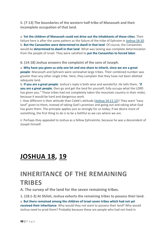**5. (7-13) The boundaries of the western half-tribe of Manasseh and their incomplete occupation of that land.**

a. **Yet the children of Manasseh could not drive out the inhabitants of those cities**: Their failure here is after the same pattern as the failure of the tribe of Ephraim in [Joshua](https://www.blueletterbible.org/search/preSearch.cfm?Criteria=Joshua+16.10&t=NKJV) 16:10. b. **But the Canaanites were determined to dwell in that land**: Of course, the Canaanites would be **determined to dwell in that land**. What was lacking was complete determination from the people of Israel. They were satisfied to **put the Canaanites to forced labor**.

**6. (14-18) Joshua answers the complaint of the sons of Joseph.**

a. **Why have you given us only one lot and one share to inherit, since we are a great people**: Manasseh and Ephraim were somewhat large tribes. Their combined number was greater than any other single tribe. Here, they complain that they have not been allotted adequate land.

b. **If you are a great people**: Joshua's reply is both wise and wonderful. He tells them, "**if you are a great people**, then go and get the land for yourself; fully occupy what the LORD has given you." These tribes had not completely taken the mountain country in their midst, because it would be hard and dangerous work.

I. How different is their attitude than Caleb's attitude (Joshua [14:11-12\)](https://www.blueletterbible.org/search/preSearch.cfm?Criteria=Joshua+14.11-12&t=NKJV)! They want "easy land" given to them, instead of taking God's promises and going out and taking what God has given them. The principle applies just as strongly for us today; if we desire more of something, the first thing to do is to be a faithful as we can where we are.

ii. Perhaps they appealed to Joshua as a fellow Ephraimite, because he was a descendent of Joseph himself.

### <span id="page-48-0"></span>**[JOSHUA](https://www.blueletterbible.org/search/preSearch.cfm?Criteria=Joshua+18&t=NKJV) 18, [19](https://www.blueletterbible.org/search/preSearch.cfm?Criteria=Joshua+18.19&t=NKJV)**

### <span id="page-48-1"></span>**INHERITANCE OF THE REMAINING TRIBES**

<span id="page-48-2"></span>**A. The survey of the land for the seven remaining tribes.**

**1. (18:1-3) At Shiloh, Joshua exhorts the remaining tribes to possess their land.**

a. **But there remained among the children of Israel seven tribes which had not yet received their inheritance**: Why would they not want to possess their land? Why would Joshua need to prod them? Probably because these are people who had not lived in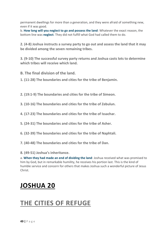permanent dwellings for more than a generation, and they were afraid of something new, even if it was good.

b. **How long will you neglect to go and possess the land**: Whatever the exact reason, the bottom line was **neglect**. They did not fulfill what God had called them to do.

**2. (4-8) Joshua instructs a survey party to go out and assess the land that it may be divided among the seven remaining tribes.**

**3. (9-10) The successful survey party returns and Joshua casts lots to determine which tribes will receive which land.**

<span id="page-49-0"></span>**B. The final division of the land.**

**1. (11-28) The boundaries and cities for the tribe of Benjamin.**

**2. (19:1-9) The boundaries and cities for the tribe of Simeon.**

**3. (10-16) The boundaries and cities for the tribe of Zebulun.**

**4. (17-23) The boundaries and cities for the tribe of Issachar.**

**5. (24-31) The boundaries and cities for the tribe of Asher.**

**6. (32-39) The boundaries and cities for the tribe of Naphtali.**

**7. (40-48) The boundaries and cities for the tribe of Dan.**

**8. (49-51) Joshua's inheritance.**

a. **When they had made an end of dividing the land**: Joshua received what was promised to him by God, but in remarkable humility, he receives his portion last. This is the kind of humble service and concern for others that makes Joshua such a wonderful picture of Jesus Christ.

### <span id="page-49-1"></span>**[JOSHUA](https://www.blueletterbible.org/search/preSearch.cfm?Criteria=Joshua+20&t=NKJV) 20**

### <span id="page-49-2"></span>**THE CITIES OF REFUGE**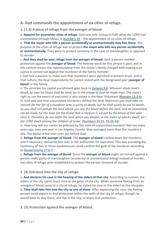#### <span id="page-50-0"></span>**A. God commands the appointment of six cities of refuge.**

**1. (1-3) A place of refuge from the avenger of blood.**

a. **Appoint for yourselves cities of refuge**: God now tells Joshua to fulfil what the LORD had commanded through Moses in [Numbers](https://www.blueletterbible.org/search/preSearch.cfm?Criteria=Numbers+35&t=NKJV) 35 – the appointment of six cities of refuge.

b. **That the slayer who kills a person accidentally or unintentionally may flee there**: The purpose of the cities of refuge was to protect **the slayer who kills any person accidentally or unintentionally**. They were to protect someone in the case of *manslaughter* as opposed to *murder*.

c. **And they shall be your refuge from the avenger of blood**: Such a person needed protection against the **avenger of blood**. The Hebrew word for this phrase is *goel*, and in this context means the representative from the victim's family charged with making sure justice is carried out against the murderer of the family member.

i. God had a passion to make sure that murderers were punished in ancient Israel, and in that culture, the final responsibility for justice rested with the designated *goel* (**avenger of blood**) in the family.

ii. The principle for capital punishment goes back to [Genesis](https://www.blueletterbible.org/search/preSearch.cfm?Criteria=Genesis+9.6&t=NKJV) 9:6: *Whoever sheds man's blood, by man his blood shall be shed; for in the image of God He made man.* The state's right to use the sword of execution is also stated in the New Testament [\(Romans](https://www.blueletterbible.org/search/preSearch.cfm?Criteria=Romans+13.3-4&t=NKJV) 13:3-4). iii. God said also that unpunished murderers defiled the land: *Moreover you shall take no* ransom for the life of a murderer who is quilty of death, but he shall surely be put to death... *So you shall not pollute the land where you are; for blood defiles the land, and no atonement* can be made for the land, for the blood that is shed on it, except by the blood of him who shed it. Therefore do not defile the land which you inhabit, in the midst of which I dwell; for I *the LORD dwell among the children of Israel.* [\(Numbers](https://www.blueletterbible.org/search/preSearch.cfm?Criteria=Numbers+35.31&t=NKJV) 35:31, [35:33-34\)](https://www.blueletterbible.org/search/preSearch.cfm?Criteria=Numbers+35.33-34&t=NKJV).

iv. How long will our nation be polluted by the stain of unpunished murders? Not too many years ago, over one year in Los Angeles County, they averaged *more than five murders a day*. The blood of the slain cries out before God.

d. **Refuge from the avenger of blood**: The **avenger of blood** tracked down the murderer, and if necessary, delivered him over to the authorities for execution. This was providing the testimony of two or three eyewitnesses could confirm the guilt of the murderer according to [Deuteronomy](https://www.blueletterbible.org/search/preSearch.cfm?Criteria=Deuteronomy+17.6-7&t=NKJV) 17:6-7.

e. **Refuge from the avenger of blood**: Since the **avenger of blood** might set himself against a person really guilty of manslaughter (accidental or unintentional killing) instead of murder, the cities of refuge were established to protect the person innocent of murder.

#### **2. (4) Entrance into the city of refuge.**

a. **And declares his case in the hearing of the elders of that city**: According to custom, the elders of the city spent much time at the gates of the city. When someone fleeing from an avenger of blood came to a city of refuge, he stated his case to the elders at the city gates. b. **They shall take him into the city as one of them**: After explaining the case, the fleeing person could expect to find protection within the walls of the city of refuge, though he would have to stay there, and live in the city, to enjoy that protection.

**3. (5) Protection against the avenger of blood.**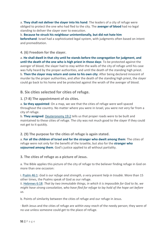a. **They shall not deliver the slayer into his hand**: The leaders of a city of refuge were obliged to protect the one who had fled to the city. The **avenger of blood** had no legal standing to deliver the slayer over to execution.

b. **Because he struck his neighbour unintentionally, but did not hate him beforehand**: Israel had a sophisticated legal system, with judgments often based on intent and premeditation.

**4. (6) Freedom for the slayer.**

a. **He shall dwell in that city until he stands before the congregation for judgment, and until the death of the one who is high priest in those days**: To be protected against the avenger of blood, the slayer had to stay within the walls of the city of refuge until his case was fully heard by the proper authorities, and until the death of the standing high priest. b. **Then the slayer may return and come to his own city**: After being declared innocent of murder by the proper authorities, and after the death of the standing high priest, the slayer could go back to his home and be protected against the wrath of the avenger of blood.

<span id="page-51-0"></span>**B. Six cities selected for cities of refuge.**

**1. (7-8) The appointment of six cities.**

a. **So they appointed**: On a map, we see that the cities of refuge were well spaced throughout the country. No matter where you were in Israel, you were not very far from a city of refuge.

b. **They assigned**: [Deuteronomy](https://www.blueletterbible.org/search/preSearch.cfm?Criteria=Deuteronomy+19.2&t=NKJV) 19:2 tells us that proper roads were to be built and maintained to these cities of refuge. The city was not much good to the slayer if they could not get to it quickly.

**2. (9) The purpose for the cities of refuge is again stated.**

a. **For all the children of Israel and for the stranger who dwelt among them**: The cities of refuge were not only for the benefit of the Israelite, but also for the **stranger who sojourned among them**. God's justice applied to all without partiality.

**3. The cities of refuge as a picture of Jesus.**

a. The Bible applies this picture of the city of refuge to the believer finding refuge in God on more than one occasion:

i. [Psalm](https://www.blueletterbible.org/search/preSearch.cfm?Criteria=Psalm+46.1&t=NKJV) 46:1: *God is our refuge and strength, a very present help in trouble.* More than 15 other times, the Psalms speak of God as our refuge.

ii. [Hebrews](https://www.blueletterbible.org/search/preSearch.cfm?Criteria=Hebrews+6.18&t=NKJV) 6:18: *That by two immutable things, in which it is impossible for God to lie, we might have strong consolation, who have fled for refuge to lay hold of the hope set before us.*

b. Points of similarity between the cities of refuge and our refuge in Jesus.

· Both Jesus and the cities of refuge are *within easy reach* of the needy person; they were of no use unless someone could get to the place of refuge.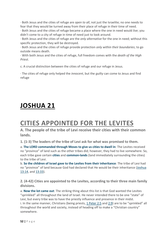· Both Jesus and the cities of refuge are *open to all*, not just the Israelite; no one needs to fear that they would be turned away from their place of refuge in their time of need.

· Both Jesus and the cities of refuge became a place where the one in need would *live*; you didn't come to a city of refuge in time of need just to look around.

· Both Jesus and the cities of refuge are the *only alternative* for the one in need; without this specific protection, they will be destroyed.

· Both Jesus and the cities of refuge provide protection *only within their boundaries*; to go outside means death.

· With both Jesus and the cities of refuge, full freedom comes with the *death of the High Priest*.

c. A crucial distinction between the cities of refuge and our refuge in Jesus.

· The cities of refuge only helped the *innocent*, but the *guilty* can come to Jesus and find refuge

### <span id="page-52-0"></span>**[JOSHUA](https://www.blueletterbible.org/search/preSearch.cfm?Criteria=Joshua+21&t=NKJV) 21**

### <span id="page-52-1"></span>**CITIES APPOINTED FOR THE LEVITES**

<span id="page-52-2"></span>**A. The people of the tribe of Levi receive their cities with their common lands.**

**1. (1-3) The leaders of the tribe of Levi ask for what was promised to them.**

a. **The LORD commanded through Moses to give us cities to dwell in**: The Levites received no "province" of land such as the other tribes did; however, they had to live somewhere. So, each tribe gave certain **cities** and **common-lands** (land immediately surrounding the cities) to the tribe of Levi.

b. **So the children of Israel gave to the Levites from their inheritance**: The tribe of Levi had no "province" of land because God had declared that He would be their inheritance [\(Joshua](https://www.blueletterbible.org/search/preSearch.cfm?Criteria=Joshua+13.14&t=NKJV) [13:14,](https://www.blueletterbible.org/search/preSearch.cfm?Criteria=Joshua+13.14&t=NKJV) and [13:33\)](https://www.blueletterbible.org/search/preSearch.cfm?Criteria=Joshua+13.33&t=NKJV).

**2. (4-42) Cities are appointed to the Levites, according to their three main family divisions.**

a. **Now the lot came out**: The striking thing about this list is that God wanted the Levites "sprinkled" all throughout the land of Israel. He never intended there to be one "state" of Levi, but every tribe was to have the priestly influence and presence in their midst. i. In the same manner, Christians (being priests, 1 [Peter](https://www.blueletterbible.org/search/preSearch.cfm?Criteria=1Peter+2.5&t=NKJV) 2:5 and [2:9\)](https://www.blueletterbible.org/search/preSearch.cfm?Criteria=1Peter+2.9&t=NKJV) are to be "sprinkled" all throughout the world and society, instead of heading off to make a "Christian country" somewhere.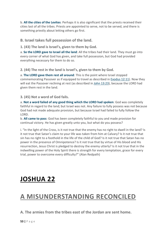b. **All the cities of the Levites**: Perhaps it is also significant that the priests received their cities last of all the tribes. Priests are appointed to serve, not to be served, and there is something priestly about letting others go first.

#### <span id="page-53-0"></span>**B. Israel takes full possession of the land.**

**1. (43) The land is Israel's, given to them by God.**

a. **So the LORD gave to Israel all the land**: All the tribes had their land. They must go into every corner of what God has given, and take full possession, but God had provided everything necessary for them to do so.

**2. (44) The rest in the land is Israel's, given to them by God.**

a. **The LORD gave them rest all around**: This is the point where Israel stopped commemorating Passover as if equipped to travel as described in [Exodus](https://www.blueletterbible.org/search/preSearch.cfm?Criteria=Exodus+12.11&t=NKJV) 12:11). Now they will eat the Passover reclining at rest (as described in John [13:23\)](https://www.blueletterbible.org/search/preSearch.cfm?Criteria=John+13.23&t=NKJV), because the LORD had given them rest in the land.

**3. (45) Not a word of God fails.**

a. **Not a word failed of any good thing which the LORD had spoken**: God was completely faithful in regard to the land; but Israel was not. Any failure to fully possess was not because God had not made adequate provision, but because Israel had failed to fully follow the LORD.

b. **All came to pass**: God has been completely faithful to you and made provision for continual victory. He has given greatly unto you, but what do you possess?

i. "In the light of the Cross, is it not true that the enemy has no right to dwell in the land? Is it not true that Satan's claim to your life was taken from him at Calvary? Is it not true that sin has no right to a foothold in the life of the child of God? Is it not true that Satan has no power in the presence of Omnipotence? Is it not true that by virtue of His blood and His resurrection, Jesus Christ is pledged to destroy the enemy utterly? Is it not true that in the indwelling power of the Holy Spirit there is strength for every temptation, grace for every trial, power to overcome every difficulty?" (Alan Redpath)

### <span id="page-53-1"></span>**[JOSHUA](https://www.blueletterbible.org/search/preSearch.cfm?Criteria=Joshua+22&t=NKJV) 22**

### <span id="page-53-2"></span>**A MISUNDERSTANDING RECONCILED**

<span id="page-53-3"></span>**A. The armies from the tribes east of the Jordan are sent home.**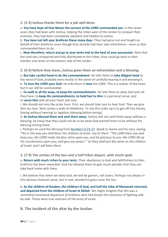**1. (1-4) Joshua thanks them for a job well done.**

a. **You have kept all that Moses the servant of the LORD commanded you**: In the seven years they had been with Joshua, helping the tribes west of the Jordan to conquer their enemies, they had been completely obedient and helpful to Joshua.

b. **You have not left your brethren these many days**: They had gone out and fought on behalf of their brethren, even though they already had their own inheritance – even as God commanded them to do.

c. **Now therefore, return and go to your tents and to the land of your possession**: Now that the land was conquered and fully distributed to the tribes, they could go back to their families and lands on the eastern side of the Jordan.

**2. (5-6) Before they leave, Joshua gives them an exhortation and a blessing.**

a. **But take careful heed to do the commandment**: He tells them to **take diligent heed** to the word of God, probably here mostly in the sense of carefully hearing it and knowing it. b. **To love the LORD your God**: He tells them to **love** the *LORD*. This is a matter of the heart, but it can still be commanded.

c. **To walk in all His ways, to keep His commandments**: He tells them to obey God with all they have, to **keep His commandments, to hold fast to Him** in a personal sense, and to **serve Him** with all your heart and soul.

i. We should not miss the order here. First, we should take care to *hear* God. Then we give Him our *love*. Next comes a walk of *obedience*. To mix this order up is to get off into heresy (loving without hearing) or legalism (obeying before loving).

d. **So Joshua blessed them and sent them away**: Joshua will not send them away without a blessing; he knew that they could not do or be what God wanted them to be without His blessing among them.

i. Perhaps he used the blessing from [Numbers](https://www.blueletterbible.org/search/preSearch.cfm?Criteria=Numbers+6.23-27&t=NKJV) 6:23-27: *Speak to Aaron and his sons, saying,* 'This is the way you shall bless the children of Israel. Say to them: "The LORD bless you and *keep you; the LORD make His face shine upon you, and be gracious to you; the LORD lift up His countenance upon you, and give you peace.'" So they shall put My name on the children of Israel, and I will bless them.*

**3. (7-9) The armies of the two and a half tribes depart, with much spoil.**

a. **Return with much riches to your tents**: Their obedience to God and faithfulness to their brethren has been rewarded. God has allowed them to gain much plunder that they can take back home with them.

i. We believe that when we obey God, we will be gainers, not losers. Perhaps not always in this obvious material sense, but in real, wonderful gains none the less.

b. **So the children of Reuben, the children of Gad, and half the tribe of Manasseh returned, and departed from the children of Israel at Shiloh**: We might imagine that this was a somewhat emotional departure of brothers who had known the closeness of fighting sideby-side. These were true veterans of the army of Israel.

<span id="page-54-0"></span>**B. The incident of the altar by the Jordan.**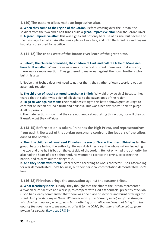**1. (10) The eastern tribes make an impressive altar.**

a. **When they came to the region of the Jordan**: Before crossing over the Jordan, the soldiers from the two and a half tribes build a **great, impressive altar** near the Jordan River. b. **A great, impressive altar**: This was significant not only because of its size, but because of the *meaning* of an altar. An altar was a place of sacrifice, and both the Israelites and pagans had altars they used for sacrifice.

**2. (11-12) The tribes west of the Jordan river learn of the great altar.**

a. **Behold, the children of Reuben, the children of Gad, and half the tribe of Manasseh have built an altar**: When the news comes to the rest of Israel, there was no discussion, there was a simple reaction. They gathered to make war against their own brothers who built this altar.

i. Notice that Joshua does not need to gather them, they gather of own accord. It was an automatic reaction.

b. **The children of Israel gathered together at Shiloh**: Why did they do this? Because they feared that this altar was a sign of allegiance to the pagan gods of the region.

c. **To go to war against them**: Their readiness to fight this battle shows great courage to confront on behalf of God's truth and holiness. This was a healthy "body," able to purge itself of poisons.

i. Their later actions show that they are not *happy* about taking this action, nor will they do it *rashly* – *but they will do it!*

**3. (13-15) Before action is taken, Phinehas the High Priest, and representatives from each tribe west of the Jordan personally confront the leaders of the tribes east of the Jordan.**

a. **Then the children of Israel sent Phinehas the son of Eleazar the priest**: **Phinehas** led the group, because he had the authority. He was High Priest over the whole nation, including the two and one-half tribes on the east side of the Jordan. He not only had the authority, he also had the heart of a wise shepherd. He wanted to correct the erring, to protect the nation, and to drive out the dangerous.

b. **And they spoke with them**: Israel reacted according to God's character. Their assembling for war demonstrated God's holiness, but their personal confrontation demonstrated God's love.

**4. (16-18) Phinehas brings the accusation against the eastern tribes.**

a. **What treachery is this**: Clearly, they thought that the altar at the Jordan represented a *rival* place of sacrifice and worship, to compete with God's tabernacle, presently at Shiloh. i. God had clearly commanded that there was one place of sacrifice and burnt offerings for Israel: *Also you shall say to them: Whatever man of the house of Israel, or of the strangers who dwell among you, who offers a burnt offering or sacrifice, and does not bring it to the door of the tabernacle of meeting, to offer it to the LORD, that man shall be cut off from among his people.* [\(Leviticus](https://www.blueletterbible.org/search/preSearch.cfm?Criteria=Leviticus+17.8-9&t=NKJV) 17:8-9)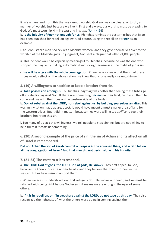ii. We understand from this that we cannot worship God any way we please, or justify a manner of worship just because we like it. First and always, our worship must be pleasing to God. We must worship Him in *spirit* and in *truth*. [\(John](https://www.blueletterbible.org/search/preSearch.cfm?Criteria=John+4.24&t=NKJV) 4:24)

b. **Is the iniquity of Peor not enough for us**: Phinehas reminds the eastern tribes that Israel has been punished for rebellion against God before, using the rebellion at **Peor** as an example.

i. At Peor, Israel's men had sex with Moabite women, and they gave themselves over to the worship of the Moabite gods. In judgment, God sent a plague that killed 24,000 people.

ii. This incident would be especially meaningful to Phinehas, because he was the one who stopped the plague by making a dramatic stand for righteousness in the midst of gross sin.

c. **He will be angry with the whole congregation**: Phinehas also knew that the sin of these tribes would reflect on the whole nation. He knew that no one really sins unto himself.

**5. (19) A willingness to sacrifice to keep a brother from sin.**

a. **Take possession among us**: To Phinehas, *anything* was better than seeing these tribes go off in rebellion against God. If there was something **unclean** in their land, he invited them to come and live with the tribes on the western side of the Jordan.

b. **Do not rebel against the LORD, nor rebel against us, by building yourselves an altar**: This was an invitation made at great cost. It would have meant a must smaller area of land for the western tribes. But it didn't matter, because they were willing to *sacrifice* to see their brothers free from this sin.

i. Too many of us lack this willingness; we tell people to stop sinning, but are not willing to help them if it costs us something.

**6. (20) A second example of the price of sin: the sin of Achan and its affect on all of Israel is remembered.**

**Did not Achan the son of Zerah commit a trespass in the accursed thing, and wrath fell on all the congregation of Israel? And that man did not perish alone in his iniquity.**

**7. (21-23) The eastern tribes respond.**

a. **The LORD God of gods, the LORD God of gods, He knows**: They first appeal to God, because He knows for certain their hearts, and they believe that their brothers in the western tribes have misunderstood them.

i. When we are misunderstood, our first refuge is God. He knows our heart, and we must be satisfied with being right before God even if it means we are wrong in the eyes of some others.

b. **If it is in rebellion, or if in treachery against the LORD, do not save us this day**: They also recognized the rightness of what the others were doing in coming against them.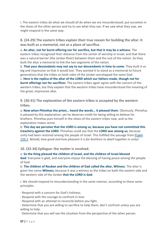i. The eastern tribes do what we should all do when we are misunderstood: put ourselves in the shoes of the other person and try to see what they see. If we saw what they saw, we might respond in the same way.

**8. (24-29) The eastern tribes explain their true reason for building the altar: it was built as a memorial, not as a place of sacrifice.**

a. **An altar, not for burnt offering nor for sacrifice, but that it may be a witness**: The eastern tribes recognized their distance from the center of worship in Israel, and that there was a natural barrier (the Jordan River) between them and the rest of the nation. So they built the altar a memorial to link the two segments of the nation.

b. **That your descendants may not say to our descendants in time to come**: They built it so big and impressive so that it would last. They wanted it to stand as a memorial to future generations that the tribes on both sides of the Jordan worshipped the same God. c. **Here is the replica of the altar of the LORD which our fathers made, though not for burnt offerings nor for sacrifices**: The eastern tribes again *agree with the concern* of the western tribes; but they explain that the western tribes have misunderstood the meaning of

the great, impressive altar.

**9. (30-31) The explanation of the eastern tribes is accepted by the western tribes.**

a. **Now when Phinehas the priest… heard the words… it pleased them**: Obviously, Phinehas is pleased by this explanation; yet he deserves credit for being willing to believe his brothers. Phinehas puts himself in the shoes of the eastern tribes now, and so the explanation makes sense.

b. **This day we perceive that the LORD is among us, because you have not committed this treachery against the LORD**: Phinehas could see that the **LORD was among us**, because unity had been restored among the people of Israel. This fulfilled the passage from [Psalm](https://www.blueletterbible.org/search/preSearch.cfm?Criteria=Psalm+133.1&t=NKJV) [133:1:](https://www.blueletterbible.org/search/preSearch.cfm?Criteria=Psalm+133.1&t=NKJV) *Behold, how good and how pleasant it is for brethren to dwell together in unity!*

**10. (32-34) Epilogue: the matter is resolved.**

a. **So the thing pleased the children of Israel, and the children of Israel blessed God**: Everyone is glad, and everyone enjoys the blessing of having peace among the people of God.

b. **The children of Reuben and the children of Gad called the altar, Witness**: The altar is given the name **Witness**, because it was a witness to the tribes on both the eastern side and the western side of the Jordan **that the LORD is God**.

i. We should respond to misunderstanding in the same manner, according to these same principles.

- · Respond with a concern for God's holiness.
- · Respond with the courage to confront in love.
- · Respond with an attempt to reconcile before you fight.
- · Determine that you are willing to sacrifice to help them; don't confront unless you are willing to help.
- · Determine that you will see the situation from the perspective of the other person.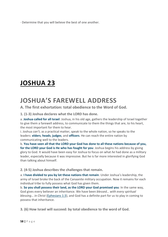· Determine that you will believe the best of one another.

### <span id="page-58-0"></span>**[JOSHUA](https://www.blueletterbible.org/search/preSearch.cfm?Criteria=Joshua+23&t=NKJV) 23**

### <span id="page-58-1"></span>**JOSHUA'S FAREWELL ADDRESS**

#### <span id="page-58-2"></span>**A. The first exhortation: total obedience to the Word of God.**

**1. (1-3) Joshua declares what the LORD has done.**

a. **Joshua called for all Israel**: Joshua, in his old age, gathers the leadership of Israel together to give them a farewell address, to communicate to them the things that are, to his heart, the most important for them to hear.

i. Joshua *can't*, as a practical matter, speak to the whole nation, so he speaks to the leaders: **elders**, **heads**, **judges**, and **officers**. He can reach the entire nation by communicating well to the leaders.

b. **You have seen all that the LORD your God has done to all these nations because of you, for the LORD your God is He who has fought for you**: Joshua begins his address by giving glory to God. It would have been easy for Joshua to focus on what *he* had done as a military leader, especially because it was impressive. But he is far more interested in glorifying God than talking about himself.

#### **2. (4-5) Joshua describes the challenges that remain.**

a. **I have divided to you by lot these nations that remain**: Under Joshua's leadership, the army of Israel broke the back of the Canaanite military occupation. Now it remains for each individual tribe to fully possess what God has given them.

b. **So you shall possess their land, as the LORD your God promised you**: In the same way, God gives every believer an inheritance. We have been *blessed… with every spiritual blessing… in Christ* [\(Ephesians](https://www.blueletterbible.org/search/preSearch.cfm?Criteria=Ephesians+1.3&t=NKJV) 1:3), and God has a definite part for us to play in coming to possess that inheritance.

**3. (6) How Israel will succeed: by total obedience to the word of God.**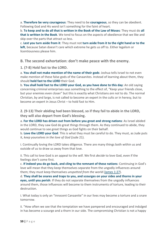a. **Therefore be very courageous**: They need to be **courageous**, so they can be obedient. Following God and His word isn't something for the faint of heart.

b. **To keep and to do all that is written in the Book of the Law of Moses**: They must do **all that is written in the Book**. We tend to focus on the aspects of obedience that we like and skip over the parts that attract us less.

c. **Lest you turn aside from it**: They must not **turn aside from it to the right hand or to the left**, because Satan doesn't care which extreme he gets us off to. Either legalism or licentiousness please him.

<span id="page-59-0"></span>**B. The second exhortation: don't make peace with the enemy.**

**1. (7-8) Hold fast to the LORD.**

a. **You shall not make mention of the name of their gods**: Joshua tells Israel to not even make mention of these false gods of the Canaanites. Instead of learning about them, they should **hold fast to the LORD** their God.

b. **You shall hold fast to the LORD your God, as you have done to this day**: An old saying concerning criminal enterprises says something to the effect of, "Keep your friends close, but your enemies even closer" but this is exactly what Christians *are not* to do. The normal Christian, by and large, is not called to become an expert in the cults or in heresy, but to become an expert in Jesus Christ – to hold fast to Him.

**2. (9-13) Their abiding had been blessed, so if they fail to abide in the LORD, they will also depart from God's blessing.**

a. **For the LORD has driven out from before you great and strong nations**: As Israel abided in the LORD, they saw God do great things through them. As they continued to abide, they would continue to see great things as God fights on their behalf.

b. **Love the LORD your God**: This is what they must be careful to do. They must, as Jude puts it, *keep yourselves in the love of God* (Jude 21).

i. Continually loving the LORD takes diligence. There are many things both within us and outside of us to draw us away from that love.

ii. This call to love God is an appeal to the *will*. We first *decide* to love God, even if the feelings don't come first.

c. **If indeed you do go back, and cling to the remnant of these nations**: Continuing in God's love will mean that they keep themselves separate from the ungodly influences around them; they must keep themselves *unspotted from the world* [\(James](https://www.blueletterbible.org/search/preSearch.cfm?Criteria=James+1.27&t=NKJV) 1:27).

d. **They shall be snares and traps to you, and scourges on your sides and thorns in your eyes, until you perish**: If they do not separate themselves from the ungodly influences around them, those influences will become to them instruments of torture, leading to their destruction.

i. What today is only an "innocent Canaanite" in our lives may become a torture and a snare tomorrow.

ii. "How often we see that the temptation we have pampered and encouraged and indulged in has become a scourge and a thorn in our side. The compromising Christian is not a happy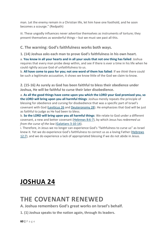man. Let the enemy remain in a Christian life, let him have one foothold, and he soon becomes a scourge." (Redpath)

iii. These ungodly influences never advertise themselves as instruments of torture; they present themselves as wonderful things – but we must see past all this.

#### <span id="page-60-0"></span>**C. The warning: God's faithfulness works both ways.**

**1. (14) Joshua asks each man to prove God's faithfulness in his own heart.**

a. **You know in all your hearts and in all your souls that not one thing has failed**: Joshua requires that every man probe deep within, and see if there is ever a time in his life when he could rightly accuse God of unfaithfulness to us.

b. **All have come to pass for you; not one word of them has failed**: If we *think* there could be such a legitimate accusation, it shows we know little of the God we claim to know.

**2. (15-16) As surely as God has been faithful to bless their obedience under Joshua, He will be faithful to curse their later disobedience.**

a. **As all the good things have come upon you which the LORD your God promised you, so the LORD will bring upon you all harmful things**: Joshua merely repeats the principle of blessing for obedience and cursing for disobedience that was a specific part of Israel's covenant with God [\(Leviticus](https://www.blueletterbible.org/search/preSearch.cfm?Criteria=Leviticus+26&t=NKJV) 26 and [Deuteronomy](https://www.blueletterbible.org/search/preSearch.cfm?Criteria=Deuteronomy+28&t=NKJV) 28). He emphasizes that God will be just as faithful to judge as He had been to bless.

b. **So the LORD will bring upon you all harmful things**: We relate to God under a different covenant, a new and better covenant [\(Hebrews](https://www.blueletterbible.org/search/preSearch.cfm?Criteria=Hebrews+8.6-7&t=NKJV) 8:6-7), by which Jesus has *redeemed us from the curse of the law* [\(Galatians](https://www.blueletterbible.org/search/preSearch.cfm?Criteria=Galatians+3.10-14&t=NKJV) 3:10-14).

i. Therefore, in Jesus we no longer can experience God's "faithfulness to curse us" as Israel knew it. Yet we do experience God's faithfulness to correct us as a loving Father [\(Hebrews](https://www.blueletterbible.org/search/preSearch.cfm?Criteria=Hebrews+12.7&t=NKJV) [12:7\)](https://www.blueletterbible.org/search/preSearch.cfm?Criteria=Hebrews+12.7&t=NKJV), and we do experience a lack of appropriated blessing if we do not abide in Jesus.

### <span id="page-60-1"></span>**[JOSHUA](https://www.blueletterbible.org/search/preSearch.cfm?Criteria=Joshua+24&t=NKJV) 24**

### <span id="page-60-2"></span>**THE COVENANT RENEWED**

<span id="page-60-3"></span>**A. Joshua remembers God's great works on Israel's behalf.**

**1. (1) Joshua speaks to the nation again, through its leaders.**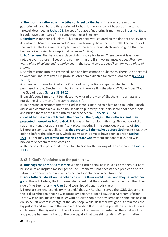a. **Then Joshua gathered all the tribes of Israel to Shechem**: This was a dramatic last gathering of Israel before the passing of Joshua. It may or may not be part of the same farewell described in [Joshua](https://www.blueletterbible.org/search/preSearch.cfm?Criteria=Joshua+23&t=NKJV) 23. No specific place of gathering is mentioned in [Joshua](https://www.blueletterbible.org/search/preSearch.cfm?Criteria=Joshua+23&t=NKJV) 23, so it could have been part of this same meeting at Shechem.

i. **Shechem** is modern Tel Balata. "This ancient city was situated on the floor of a valley near its entrance, Mount Gerazim and Mount Ebal forming the respective walls. The contour of the land resulted in a natural amphitheater, the acoustics of which were so good that the human voice carried to exceptional distances." (Pink)

b. **To Shechem**: Shechem was a place of rich history for Israel. There were at least four notable events there in lives of the patriarchs. In the first two instances we see *Shechem was a place of calling and commitment.* In the second two we see *Shechem was a place of shame.*

i. Abraham came into the Promised Land and first camped at Shechem. There God appeared to Abraham and confirmed His promise; Abraham built an altar to the Lord there [\(Genesis](https://www.blueletterbible.org/search/preSearch.cfm?Criteria=Genesis+12.6-7&t=NKJV) [12:6-7\)](https://www.blueletterbible.org/search/preSearch.cfm?Criteria=Genesis+12.6-7&t=NKJV).

ii. When Jacob came back into the Promised Land, he first camped at Shechem. He purchased land at Shechem and built an altar there, calling the place, *El Elohe Israel* (God, the God of Israel, Genesis [33:16-20\)](https://www.blueletterbible.org/search/preSearch.cfm?Criteria=Genesis+33.16-20&t=NKJV).

iii. Jacob's sons Simeon and Levi deceptively lured the men of Shechem into a massacre, murdering all the men of the city [\(Genesis](https://www.blueletterbible.org/search/preSearch.cfm?Criteria=Genesis+34&t=NKJV) 34).

iv. In a season of recommitment to God in Jacob's life, God told him to go to Bethel. Jacob did so and commanded all in his household to put away their idols. Jacob took those idols and buried them at the terebinth tree near Shechem [\(Genesis](https://www.blueletterbible.org/search/preSearch.cfm?Criteria=Genesis+35.1-5&t=NKJV) 35:1-5).

c. **Called for the elders of Israel… their heads… their judges… their officers; and they presented themselves before God**: This was an impressive gathering. The leaders of the nation met together at this significant place, meeting in the conscious presence of **God**. i. There are some who believe that **they presented themselves before God** means that they did this before the tabernacle, which seems at this time to have been at Shiloh [\(Joshua](https://www.blueletterbible.org/search/preSearch.cfm?Criteria=Joshua+18.1&t=NKJV) [18:1\)](https://www.blueletterbible.org/search/preSearch.cfm?Criteria=Joshua+18.1&t=NKJV). Either they **presented themselves before God** without the tabernacle, or it was moved to Shechem for this occasion.

ii. The people also presented themselves to God for the making of the covenant in [Exodus](https://www.blueletterbible.org/search/preSearch.cfm?Criteria=Exodus+19.17&t=NKJV) [19:17.](https://www.blueletterbible.org/search/preSearch.cfm?Criteria=Exodus+19.17&t=NKJV)

**2. (2-4) God's faithfulness to the patriarchs.**

a. **Thus says the Lord GOD of Israel**: We don't often think of Joshua as a prophet, but here he spoke as an inspired messenger of God. Prophecy is not necessarily a prediction of the future. It can simply be a uniquely direct and spontaneous word from God.

b. **Your fathers… dwelt on the other side of the River in old times; and they served other gods**: Through Joshua, the Lord reminded Israel that their forefathers came from the other side of the Euphrates (**the River**) and worshipped pagan gods there.

i. There are ancient legends (*only* legends) that say Abraham served the LORD God among the idol worshippers that he was raised among. One legend says that Abraham's father Terah was an idol maker and seller with his own shop. One day Terah had some business to do, so he left Abram in charge of the idol shop. While his father was gone, Abram took the biggest idol and set him in the middle of the shop floor. Then he put all the other idols in a circle around the biggest idol. Then Abram took a hammer, smashed all the smaller idols and put the hammer in front of the one big idol that was still standing. When his father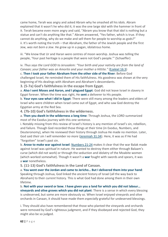came home, Terah was angry and asked Abram why he smashed all his idols. Abram explained that it wasn't he who did it; it was the one large idol with the hammer in front of it. Terah became even more angry and said, "Abram you know that that idol is nothing but a statue and can't do anything like that." Abram answered, "Yes father, which is true. If they cannot do anything, why do we make and sell them for people to worship as gods?" ii. It's worth noting the truth – that Abraham, the father of the Jewish people and the first Jew, *was not born a Jew*. He grew up in a pagan, idolatrous home.

iii. "We know that Ur and Haran were centres of moon worship. Joshua was telling the people, 'Your past heritage is a people that were not God's people.'" (Schaeffer)

iv. *Thus says the Lord GOD to Jerusalem: "Your birth and your nativity are from the land of Canaan; your father was an Amorite and your mother a Hittite."* [\(Ezekiel](https://www.blueletterbible.org/search/preSearch.cfm?Criteria=Ezekiel+16.3&t=NKJV) 16:3)

c. **Then I took your father Abraham from the other side of the River**: Before God challenged Israel, He reminded them of His faithfulness. His goodness was shown at the very beginning of His dealings with Abraham and Abraham's descendants.

**3. (5-7a) God's faithfulness in the escape from Egypt.**

a. **Also I sent Moses and Aaron, and I plagued Egypt**: God did not leave Israel in slavery in Egypt forever. When the time was right, He **sent** a deliverer to His people.

b. **Your eyes saw what I did in Egypt**: There were still many among the leaders and elders of Israel who were children when Israel came out of Egypt, and who saw God destroy the Egyptian army at the Red Sea.

**4. (7b-10) God's faithfulness in the wilderness.**

a. **Then you dwelt in the wilderness a long time**: Through Joshua, the LORD summarized most of the Exodus journey with this one sentence.

i. Notably missing from this review of Israel's history is any mention of Israel's sin, rebellion, and failure. Though God recorded those things at their time (in Exodus, Numbers, and Deuteronomy), when He reviewed their history through Joshua He made no mention. Later, God said *their sin I will remember no more* [\(Jeremiah](https://www.blueletterbible.org/search/preSearch.cfm?Criteria=Jeremiah+31.34&t=NKJV) 31:34). Here, it was as if He had "forgotten" Israel's past sin.

b. **Arose to make war against Israel**: [Numbers](https://www.blueletterbible.org/search/preSearch.cfm?Criteria=Numbers+21-24&t=NKJV) 21-24 makes it clear that the war Balak made against Israel was *spiritual* in nature. He wanted to destroy them either through Balaam's curse (which did not work) or through the seduction and idolatry of the Moabite women (which worked somewhat). Though it wasn't a **war** fought with swords and spears, it was a **war** nonetheless.

**5. (11-13) God's faithfulness in the Land of Canaan.**

a. **You went over the Jordan and came to Jericho… But I delivered them into your hand**: Speaking through Joshua, God linked the *ancient* history of Israel (all the way back to Abraham) to their *current* history. This is what God had done among them in their own lifetime.

b. **Not with your sword or bow. I have given you a land for which you did not labour… vineyards and olive groves which you did not plant**: There is a sense in which every blessing is undeserved, but some are more obviously so. When Israel enjoyed vineyards and olive orchards in Canaan, it should have made them *especially* grateful for undeserved blessings.

i. They should also have remembered that those who planted the vineyards and orchards were removed by God's righteous judgment, and if they disobeyed and rejected God, they might also be so judged.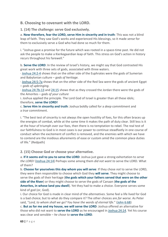#### <span id="page-63-0"></span>**B. Choosing to covenant with the LORD.**

**1. (14) The challenge: serve God exclusively.**

a. **Now therefore, fear the LORD, serve Him in sincerity and in truth**: This was not a blind leap of faith. They saw God's works and experienced His blessings, so it made *sense* for them to exclusively serve a God who had done so much for them.

i. "Joshua gave a promise for the future which was rooted in a space-time past. He did not ask the people to make a Kierkegaardian leap of faith. This stress on God's action in history recurs throughout his farewell."

b. **Serve the LORD**: In the review of Israel's history, we might say that God contrasted His great work with three sets of gods, associated with three waters.

· [Joshua](https://www.blueletterbible.org/search/preSearch.cfm?Criteria=Joshua+24.2-4&t=NKJV) 24:2-4 shows that on the other side of the Euphrates were the gods of Sumerian and Babylonian culture – *gods of heritage.*

· Joshua [24:5-7a](https://www.blueletterbible.org/search/preSearch.cfm?Criteria=Joshua+24.5-7a&t=NKJV) shows that on the other side of the Red Sea were the gods of ancient Egypt – *gods of upbringing*.

· Joshua [24:7b-13](https://www.blueletterbible.org/search/preSearch.cfm?Criteria=Joshua+24.7b+13&t=NKJV) and [24:15](https://www.blueletterbible.org/search/preSearch.cfm?Criteria=Joshua+24.15&t=NKJV) shows that as they crossed the Jordan there were the gods of the Amorites – *gods of your culture*

i. Joshua applied the principle. The Lord God of Israel is greater than all these idols; therefore, **serve the LORD!**

c. **Serve Him in sincerity and truth**: Joshua boldly called for a *deep* commitment and a *true* commitment.

i. "The best test of sincerity is not always the open hostility of foes, for this often braces up the energies of combat, while at the same time it makes the path of duty clear. Still less is it at the hour of triumph over our foes, then there is no temptation to rebel. The real test of our faithfulness to God is in most cases is our power to continue steadfastly in one course of conduct when the excitement of conflict is removed, and the enemies with which we have to contend are the insidious allurements of ease or custom amid the common place duties of life." (Redpath)

**2. (15) Choose God or choose your alternative.**

a. **If it seems evil to you to serve the LORD**: Joshua just gave a strong exhortation to *serve the LORD!* [\(Joshua](https://www.blueletterbible.org/search/preSearch.cfm?Criteria=Joshua+24.14&t=NKJV) 24:14) Perhaps some among them *did not want to* serve the LORD. What of them?

b. **Choose for yourselves this day whom you will serve**: If they chose *not* to serve the LORD, they were then responsible to choose which God they **will serve**. They might choose to serve the gods of their heritage (**the gods which your fathers served that were on the other side of the River**) or they might choose to serve the gods of Canaan (**the gods of the Amorites, in whose land you dwell**). Yet they had to make a choice. Everyone serves some kind of god (or, God).

i. Our choice for God is made in clear mind of the *alternatives*. Some feel a life lived for God is a bad choice; but to what do they compare it? The other choices are *far worse*. As Peter said, "*Lord, to whom shall we go? You have the words of eternal life*." [\(John](https://www.blueletterbible.org/search/preSearch.cfm?Criteria=John+6.68&t=NKJV) 6:68) c. **But as for me and my house, we will serve the LORD**: Joshua offered an alternative for

those who did not want to **serve the LORD** as he encouraged in [Joshua](https://www.blueletterbible.org/search/preSearch.cfm?Criteria=Joshua+24.14&t=NKJV) 24:14. Yet his course was clear and sensible – *he chose to* **serve the LORD**.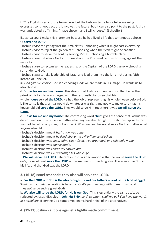i. "The English uses a future tense here, but the Hebrew tense has a fuller meaning. It expresses continuous action. It involves the future, but it can also point to the past. Joshua was undoubtedly affirming, 'I have chosen, and I will choose.'" (Schaeffer)

ii. Joshua could make this statement because he had lived a life that continuously chose to **serve the LORD**.

· Joshua *chose* to fight against the Amalekites – choosing when it might cost everything.

· Joshua *chose* to reject the golden calf – choosing when the flesh might be satisfied.

· Joshua *chose* to serve the Lord by serving Moses – choosing a humble place.

· Joshua *chose* to believe God's promise about the Promised Land – choosing against the majority.

· Joshua *chose* to recognize the leadership of the Captain of the LORD's army – choosing surrender to God.

· Joshua *chose* to take leadership of Israel and lead them into the land – choosing faith instead of unbelief.

iii. *God gives us choice*. God is a choosing God; we are made in His image. He wants us to also choose.

d. **But as for me and my house**: This shows that Joshua also understood that he, as the priest of his family, was charged with the responsibility to see that his

whole **house** served **the LORD**. He had the job of representing his whole house before God. i. The sense is that Joshua would do whatever was right and godly to make sure that his

household did **serve the LORD**. They would serve Him together; it was **we will serve the LORD**.

e. **But as for me and my house**: The contrasting word "**but**" gives the sense that Joshua was determined on this course no matter what anyone else thought. His relationship with God was not based on any man, but on the LORD alone, and he would serve God no matter what anyone else did.

· Joshua's decision meant *hesitation was gone*.

· Joshua's decision meant *he lived above the evil influence of others.*

· Joshua's decision was *deep, calm, clear, fixed, well-grounded, and solemnly made.*

· Joshua's decision was *openly made.*

· Joshua's decision was *earnestly carried out.*

· Joshua's decision was *kept through his whole life*.

f. **We will serve the LORD**: Inherent in Joshua's declaration is that he would **serve the LORD** *only*; he would not **serve the LORD** *and* someone or something else. There was one God in his life, and that God was the LORD.

**3. (16-18) Israel responds: they also will serve the LORD.**

a. For the LORD our God is He who brought us and our fathers up out of the land of Egypt: Significantly, their declaration is based on God's past dealings with them. How could they *not* serve such a great God?

b. **We also will serve the LORD, for He is our God**: This is essentially the same attitude reflected by Jesus' disciples in John [6:66-69:](https://www.blueletterbible.org/search/preSearch.cfm?Criteria=John+6.66-69&t=NKJV) *Lord, to whom shall we go? You have the words of eternal life*. If serving God sometimes seems hard, think of the alternatives.

**4. (19-21) Joshua cautions against a lightly made commitment.**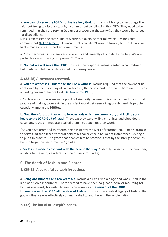a. **You cannot serve the LORD, for He is a holy God**: Joshua is not trying to discourage their faith but trying to discourage a light commitment to following the LORD. They need to be reminded that they are serving God under a covenant that *promised* they would be cursed for disobedience.

i. Jesus expressed the same kind of warning, explaining that following Him took total commitment (Luke [14:25-33\)](https://www.blueletterbible.org/search/preSearch.cfm?Criteria=Luke+14.25-33&t=NKJV). It wasn't that Jesus didn't want followers, but He did not want lightly made and easily broken commitments.

ii. "So it becomes us to speak very reverently and leniently of our ability to obey. We are probably overestimating our powers." (Meyer)

b. **No, but we will serve the LORD**: This was the response Joshua wanted: a commitment but made with full understanding of the consequences.

#### **5. (22-28) A covenant renewed.**

a. **You are witnesses… this stone shall be a witness**: Joshua required that the covenant be confirmed by the testimony of two witnesses, the people and the stone. Therefore, this was a binding covenant before God [\(Deuteronomy](https://www.blueletterbible.org/search/preSearch.cfm?Criteria=Deuteronomy+19.15&t=NKJV) 19:15).

i. As Hess notes, there are some points of similarity between this covenant and the normal practice of making covenants in the ancient world between a king or ruler and his people, especially among the Hittites.

b. **Now therefore… put away the foreign gods which are among you, and incline your heart to the LORD God of Israel**: They *said* they were willing enter into and obey God's covenant. Joshua immediately called them into action on their words.

"As you have promised to reform, begin instantly the work of reformation. A man's promise to serve God soon loses its moral hold of his conscience if he do not instantaneously begin to put it in practice. The grace that enables him to promise is that by the strength of which he is to begin the performance." (Clarke)

c. **So Joshua made a covenant with the people that day**: "Literally, *Joshua cut the covenant*, alluding to the *sacrifice* offered on the occasion." (Clarke)

<span id="page-65-0"></span>**C. The death of Joshua and Eleazar.**

**1. (29-31) A beautiful epitaph for Joshua.**

a. **Being one hundred and ten years old**: Joshua died at a ripe old age and was buried in the land of his own inheritance. There seemed to have been no great funeral or mourning for him, as was surely his wish – to simply be known as **the servant of the LORD**. b. **Israel served the LORD all the days of Joshua**: This was the greatest legacy of Joshua. His godly influence was effectively communicated to and through the whole nation.

**2. (32) The burial of Joseph's bones.**